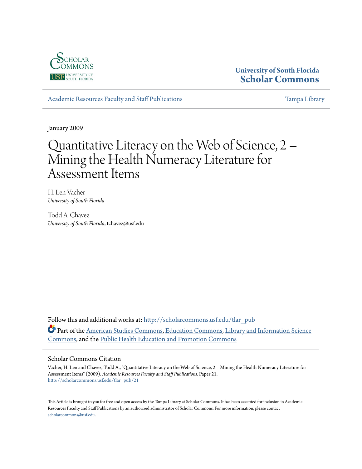

# **University of South Florida [Scholar Commons](http://scholarcommons.usf.edu?utm_source=scholarcommons.usf.edu%2Ftlar_pub%2F21&utm_medium=PDF&utm_campaign=PDFCoverPages)**

[Academic Resources Faculty and Staff Publications](http://scholarcommons.usf.edu/tlar_pub?utm_source=scholarcommons.usf.edu%2Ftlar_pub%2F21&utm_medium=PDF&utm_campaign=PDFCoverPages) [Tampa Library](http://scholarcommons.usf.edu/tlib?utm_source=scholarcommons.usf.edu%2Ftlar_pub%2F21&utm_medium=PDF&utm_campaign=PDFCoverPages) Tampa Library

January 2009

# Quantitative Literacy on the Web of Science, 2 – Mining the Health Numeracy Literature for Assessment Items

H. Len Vacher *University of South Florida*

Todd A. Chavez *University of South Florida*, tchavez@usf.edu

Follow this and additional works at: [http://scholarcommons.usf.edu/tlar\\_pub](http://scholarcommons.usf.edu/tlar_pub?utm_source=scholarcommons.usf.edu%2Ftlar_pub%2F21&utm_medium=PDF&utm_campaign=PDFCoverPages) Part of the [American Studies Commons](http://network.bepress.com/hgg/discipline/439?utm_source=scholarcommons.usf.edu%2Ftlar_pub%2F21&utm_medium=PDF&utm_campaign=PDFCoverPages), [Education Commons](http://network.bepress.com/hgg/discipline/784?utm_source=scholarcommons.usf.edu%2Ftlar_pub%2F21&utm_medium=PDF&utm_campaign=PDFCoverPages), [Library and Information Science](http://network.bepress.com/hgg/discipline/1018?utm_source=scholarcommons.usf.edu%2Ftlar_pub%2F21&utm_medium=PDF&utm_campaign=PDFCoverPages) [Commons,](http://network.bepress.com/hgg/discipline/1018?utm_source=scholarcommons.usf.edu%2Ftlar_pub%2F21&utm_medium=PDF&utm_campaign=PDFCoverPages) and the [Public Health Education and Promotion Commons](http://network.bepress.com/hgg/discipline/743?utm_source=scholarcommons.usf.edu%2Ftlar_pub%2F21&utm_medium=PDF&utm_campaign=PDFCoverPages)

#### Scholar Commons Citation

Vacher, H. Len and Chavez, Todd A., "Quantitative Literacy on the Web of Science, 2 – Mining the Health Numeracy Literature for Assessment Items" (2009). *Academic Resources Faculty and Staff Publications.* Paper 21. [http://scholarcommons.usf.edu/tlar\\_pub/21](http://scholarcommons.usf.edu/tlar_pub/21?utm_source=scholarcommons.usf.edu%2Ftlar_pub%2F21&utm_medium=PDF&utm_campaign=PDFCoverPages)

This Article is brought to you for free and open access by the Tampa Library at Scholar Commons. It has been accepted for inclusion in Academic Resources Faculty and Staff Publications by an authorized administrator of Scholar Commons. For more information, please contact [scholarcommons@usf.edu](mailto:scholarcommons@usf.edu).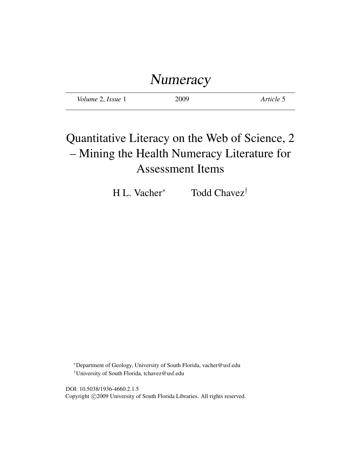# Numeracy

| Volume 2, Issue 1 | 2009 | Article 5 |
|-------------------|------|-----------|
|-------------------|------|-----------|

# Quantitative Literacy on the Web of Science, 2 – Mining the Health Numeracy Literature for Assessment Items

H L. Vacher<sup>∗</sup> Todd Chavez†

<sup>∗</sup>Department of Geology, University of South Florida, vacher@usf.edu †University of South Florida, tchavez@usf.edu

DOI: 10.5038/1936-4660.2.1.5 Copyright ©2009 University of South Florida Libraries. All rights reserved.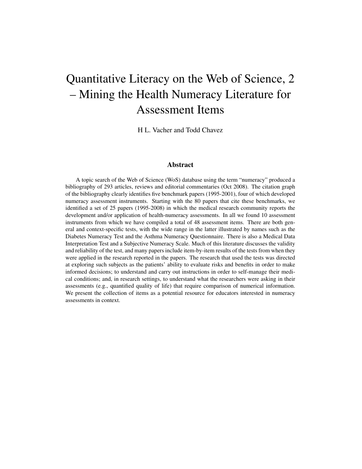# Quantitative Literacy on the Web of Science, 2 – Mining the Health Numeracy Literature for Assessment Items

H L. Vacher and Todd Chavez

#### Abstract

A topic search of the Web of Science (WoS) database using the term "numeracy" produced a bibliography of 293 articles, reviews and editorial commentaries (Oct 2008). The citation graph of the bibliography clearly identifies five benchmark papers (1995-2001), four of which developed numeracy assessment instruments. Starting with the 80 papers that cite these benchmarks, we identified a set of 25 papers (1995-2008) in which the medical research community reports the development and/or application of health-numeracy assessments. In all we found 10 assessment instruments from which we have compiled a total of 48 assessment items. There are both general and context-specific tests, with the wide range in the latter illustrated by names such as the Diabetes Numeracy Test and the Asthma Numeracy Questionnaire. There is also a Medical Data Interpretation Test and a Subjective Numeracy Scale. Much of this literature discusses the validity and reliability of the test, and many papers include item-by-item results of the tests from when they were applied in the research reported in the papers. The research that used the tests was directed at exploring such subjects as the patients' ability to evaluate risks and benefits in order to make informed decisions; to understand and carry out instructions in order to self-manage their medical conditions; and, in research settings, to understand what the researchers were asking in their assessments (e.g., quantified quality of life) that require comparison of numerical information. We present the collection of items as a potential resource for educators interested in numeracy assessments in context.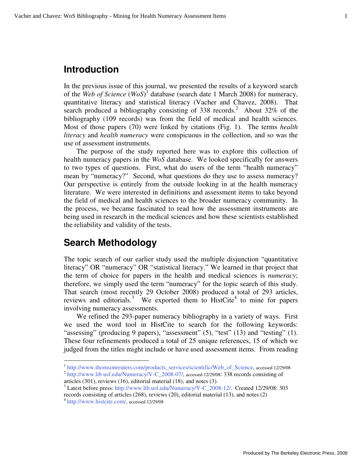# **Introduction**

In the previous issue of this journal, we presented the results of a keyword search of the *Web of Science* (*WoS*) 1 database (search date 1 March 2008) for numeracy, quantitative literacy and statistical literacy (Vacher and Chavez, 2008). That search produced a bibliography consisting of 338 records.<sup>2</sup> About 32% of the bibliography (109 records) was from the field of medical and health sciences. Most of those papers (70) were linked by citations (Fig. 1). The terms *health literacy* and *health numeracy* were conspicuous in the collection, and so was the use of assessment instruments.

The purpose of the study reported here was to explore this collection of health numeracy papers in the *WoS* database. We looked specifically for answers to two types of questions. First, what do users of the term "health numeracy" mean by "numeracy?" Second, what questions do they use to assess numeracy? Our perspective is entirely from the outside looking in at the health numeracy literature. We were interested in definitions and assessment items to take beyond the field of medical and health sciences to the broader numeracy community. In the process, we became fascinated to read how the assessment instruments are being used in research in the medical sciences and how these scientists established the reliability and validity of the tests.

# **Search Methodology**

The topic search of our earlier study used the multiple disjunction "quantitative literacy" OR "numeracy" OR "statistical literacy." We learned in that project that the term of choice for papers in the health and medical sciences is *numeracy*; therefore, we simply used the term "numeracy" for the topic search of this study. That search (most recently 29 October 2008) produced a total of 293 articles, reviews and editorials.<sup>3</sup> We exported them to HistCite<sup>4</sup> to mine for papers involving numeracy assessments.

We refined the 293-paper numeracy bibliography in a variety of ways. First we used the word tool in HistCite to search for the following keywords: "assessing" (producing 9 papers), "assessment" (5), "test" (13) and "testing" (1). These four refinements produced a total of 25 unique references, 15 of which we judged from the titles might include or have used assessment items. From reading

 $\overline{a}$ 

<sup>&</sup>lt;sup>1</sup> http://www.thomsonreuters.com/products\_services/scientific/Web\_of\_Science, accessed 12/29/08 <sup>2</sup> http://www.lib.usf.edu/Numeracy/V-C\_2008-07/, accessed 12/29/08: 338 records consisting of articles (301), reviews (16), editorial material (18), and notes (3).

<sup>&</sup>lt;sup>3</sup> Latest before press: http://www.lib.usf.edu/Numeracy/V-C\_2008-12/. Created 12/29/08: 303 records consisting of articles (268), reviews (20), editorial material (13), and notes (2)

<sup>4</sup> http://www.histcite.com/, accessed 12/29/08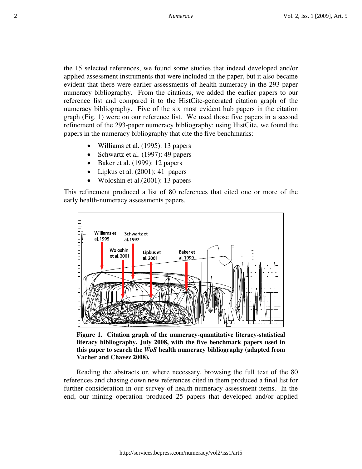the 15 selected references, we found some studies that indeed developed and/or applied assessment instruments that were included in the paper, but it also became evident that there were earlier assessments of health numeracy in the 293-paper numeracy bibliography. From the citations, we added the earlier papers to our reference list and compared it to the HistCite-generated citation graph of the numeracy bibliography. Five of the six most evident hub papers in the citation graph (Fig. 1) were on our reference list. We used those five papers in a second refinement of the 293-paper numeracy bibliography: using HistCite, we found the papers in the numeracy bibliography that cite the five benchmarks:

- Williams et al. (1995): 13 papers
- Schwartz et al. (1997): 49 papers
- Baker et al. (1999): 12 papers
- Lipkus et al. (2001): 41 papers
- Woloshin et al.(2001): 13 papers

This refinement produced a list of 80 references that cited one or more of the early health-numeracy assessments papers.



**Figure 1. Citation graph of the numeracy-quantitative literacy-statistical literacy bibliography, July 2008, with the five benchmark papers used in this paper to search the** *WoS* **health numeracy bibliography (adapted from Vacher and Chavez 2008).** 

Reading the abstracts or, where necessary, browsing the full text of the 80 references and chasing down new references cited in them produced a final list for further consideration in our survey of health numeracy assessment items. In the end, our mining operation produced 25 papers that developed and/or applied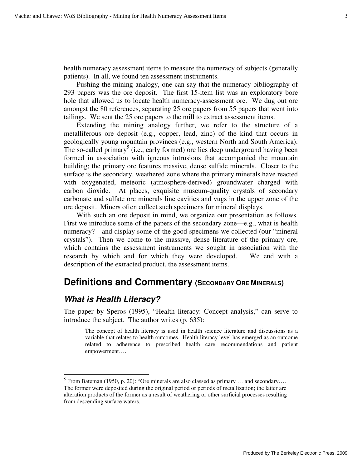health numeracy assessment items to measure the numeracy of subjects (generally patients). In all, we found ten assessment instruments.

Pushing the mining analogy, one can say that the numeracy bibliography of 293 papers was the ore deposit. The first 15-item list was an exploratory bore hole that allowed us to locate health numeracy-assessment ore. We dug out ore amongst the 80 references, separating 25 ore papers from 55 papers that went into tailings. We sent the 25 ore papers to the mill to extract assessment items.

Extending the mining analogy further, we refer to the structure of a metalliferous ore deposit (e.g., copper, lead, zinc) of the kind that occurs in geologically young mountain provinces (e.g., western North and South America). The so-called primary<sup>5</sup> (i.e., early formed) ore lies deep underground having been formed in association with igneous intrusions that accompanied the mountain building; the primary ore features massive, dense sulfide minerals. Closer to the surface is the secondary, weathered zone where the primary minerals have reacted with oxygenated, meteoric (atmosphere-derived) groundwater charged with carbon dioxide. At places, exquisite museum-quality crystals of secondary carbonate and sulfate ore minerals line cavities and vugs in the upper zone of the ore deposit. Miners often collect such specimens for mineral displays.

With such an ore deposit in mind, we organize our presentation as follows. First we introduce some of the papers of the secondary zone—e.g., what is health numeracy?—and display some of the good specimens we collected (our "mineral crystals"). Then we come to the massive, dense literature of the primary ore, which contains the assessment instruments we sought in association with the research by which and for which they were developed. We end with a description of the extracted product, the assessment items.

# **Definitions and Commentary (SECONDARY ORE MINERALS)**

#### **What is Health Literacy?**

<u>.</u>

The paper by Speros (1995), "Health literacy: Concept analysis," can serve to introduce the subject. The author writes (p. 635):

The concept of health literacy is used in health science literature and discussions as a variable that relates to health outcomes. Health literacy level has emerged as an outcome related to adherence to prescribed health care recommendations and patient empowerment….

<sup>&</sup>lt;sup>5</sup> From Bateman (1950, p. 20): "Ore minerals are also classed as primary ... and secondary.... The former were deposited during the original period or periods of metallization; the latter are alteration products of the former as a result of weathering or other surficial processes resulting from descending surface waters.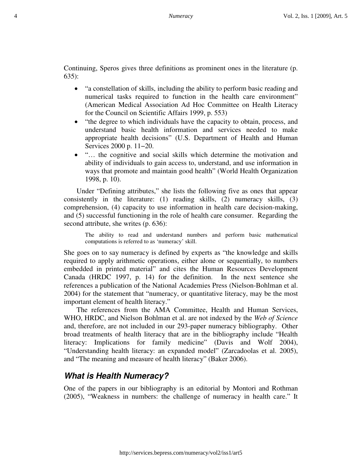Continuing, Speros gives three definitions as prominent ones in the literature (p. 635):

- "a constellation of skills, including the ability to perform basic reading and numerical tasks required to function in the health care environment" (American Medical Association Ad Hoc Committee on Health Literacy for the Council on Scientific Affairs 1999, p. 553)
- "the degree to which individuals have the capacity to obtain, process, and understand basic health information and services needed to make appropriate health decisions" (U.S. Department of Health and Human Services 2000 p. 11−20.
- "… the cognitive and social skills which determine the motivation and ability of individuals to gain access to, understand, and use information in ways that promote and maintain good health" (World Health Organization 1998, p. 10).

Under "Defining attributes," she lists the following five as ones that appear consistently in the literature: (1) reading skills, (2) numeracy skills, (3) comprehension, (4) capacity to use information in health care decision-making, and (5) successful functioning in the role of health care consumer. Regarding the second attribute, she writes (p. 636):

The ability to read and understand numbers and perform basic mathematical computations is referred to as 'numeracy' skill.

She goes on to say numeracy is defined by experts as "the knowledge and skills required to apply arithmetic operations, either alone or sequentially, to numbers embedded in printed material" and cites the Human Resources Development Canada (HRDC 1997, p. 14) for the definition. In the next sentence she references a publication of the National Academies Press (Nielson-Bohlman et al. 2004) for the statement that "numeracy, or quantitative literacy, may be the most important element of health literacy."

The references from the AMA Committee, Health and Human Services, WHO, HRDC, and Nielson Bohlman et al. are not indexed by the *Web of Science* and, therefore, are not included in our 293-paper numeracy bibliography. Other broad treatments of health literacy that are in the bibliography include "Health literacy: Implications for family medicine" (Davis and Wolf 2004), "Understanding health literacy: an expanded model" (Zarcadoolas et al. 2005), and "The meaning and measure of health literacy" (Baker 2006).

### **What is Health Numeracy?**

One of the papers in our bibliography is an editorial by Montori and Rothman (2005), "Weakness in numbers: the challenge of numeracy in health care." It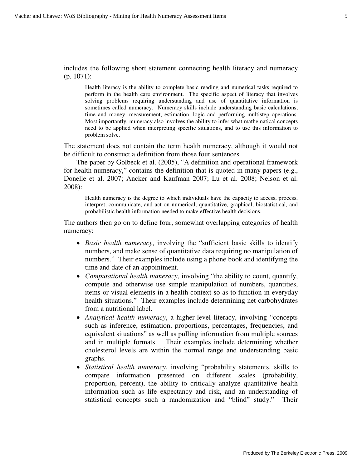includes the following short statement connecting health literacy and numeracy (p. 1071):

Health literacy is the ability to complete basic reading and numerical tasks required to perform in the health care environment. The specific aspect of literacy that involves solving problems requiring understanding and use of quantitative information is sometimes called numeracy. Numeracy skills include understanding basic calculations, time and money, measurement, estimation, logic and performing multistep operations. Most importantly, numeracy also involves the ability to infer what mathematical concepts need to be applied when interpreting specific situations, and to use this information to problem solve.

The statement does not contain the term health numeracy, although it would not be difficult to construct a definition from those four sentences.

The paper by Golbeck et al. (2005), "A definition and operational framework for health numeracy," contains the definition that is quoted in many papers (e.g., Donelle et al. 2007; Ancker and Kaufman 2007; Lu et al. 2008; Nelson et al. 2008):

Health numeracy is the degree to which individuals have the capacity to access, process, interpret, communicate, and act on numerical, quantitative, graphical, biostatistical, and probabilistic health information needed to make effective health decisions.

The authors then go on to define four, somewhat overlapping categories of health numeracy:

- *Basic health numeracy*, involving the "sufficient basic skills to identify numbers, and make sense of quantitative data requiring no manipulation of numbers." Their examples include using a phone book and identifying the time and date of an appointment.
- *Computational health numeracy*, involving "the ability to count, quantify, compute and otherwise use simple manipulation of numbers, quantities, items or visual elements in a health context so as to function in everyday health situations." Their examples include determining net carbohydrates from a nutritional label.
- *Analytical health numeracy*, a higher-level literacy, involving "concepts such as inference, estimation, proportions, percentages, frequencies, and equivalent situations" as well as pulling information from multiple sources and in multiple formats. Their examples include determining whether cholesterol levels are within the normal range and understanding basic graphs.
- *Statistical health numeracy*, involving "probability statements, skills to compare information presented on different scales (probability, proportion, percent), the ability to critically analyze quantitative health information such as life expectancy and risk, and an understanding of statistical concepts such a randomization and "blind" study." Their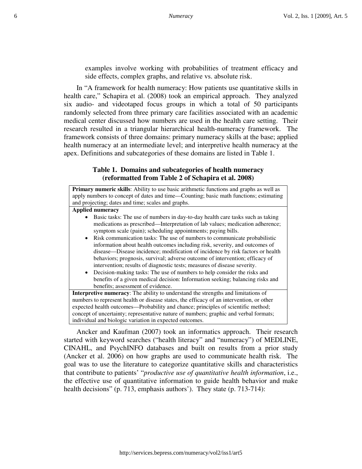examples involve working with probabilities of treatment efficacy and side effects, complex graphs, and relative vs. absolute risk.

In "A framework for health numeracy: How patients use quantitative skills in health care," Schapira et al. (2008) took an empirical approach. They analyzed six audio- and videotaped focus groups in which a total of 50 participants randomly selected from three primary care facilities associated with an academic medical center discussed how numbers are used in the health care setting. Their research resulted in a triangular hierarchical health-numeracy framework. The framework consists of three domains: primary numeracy skills at the base; applied health numeracy at an intermediate level; and interpretive health numeracy at the apex. Definitions and subcategories of these domains are listed in Table 1.

#### **Table 1. Domains and subcategories of health numeracy (reformatted from Table 2 of Schapira et al. 2008)**

| Primary numeric skills: Ability to use basic arithmetic functions and graphs as well as     |  |  |  |  |  |
|---------------------------------------------------------------------------------------------|--|--|--|--|--|
| apply numbers to concept of dates and time—Counting; basic math functions; estimating       |  |  |  |  |  |
| and projecting; dates and time; scales and graphs.                                          |  |  |  |  |  |
| <b>Applied numeracy</b>                                                                     |  |  |  |  |  |
| Basic tasks: The use of numbers in day-to-day health care tasks such as taking<br>$\bullet$ |  |  |  |  |  |
| medications as prescribed—Interpretation of lab values; medication adherence;               |  |  |  |  |  |
| symptom scale (pain); scheduling appointments; paying bills.                                |  |  |  |  |  |
| Risk communication tasks: The use of numbers to communicate probabilistic<br>$\bullet$      |  |  |  |  |  |
| information about health outcomes including risk, severity, and outcomes of                 |  |  |  |  |  |
| disease—Disease incidence; modification of incidence by risk factors or health              |  |  |  |  |  |
| behaviors; prognosis, survival; adverse outcome of intervention; efficacy of                |  |  |  |  |  |
| intervention; results of diagnostic tests; measures of disease severity.                    |  |  |  |  |  |
| Decision-making tasks: The use of numbers to help consider the risks and<br>$\bullet$       |  |  |  |  |  |
| benefits of a given medical decision: Information seeking; balancing risks and              |  |  |  |  |  |
| benefits; assessment of evidence.                                                           |  |  |  |  |  |
| <b>Interpretive numeracy:</b> The ability to understand the strengths and limitations of    |  |  |  |  |  |
| numbers to represent health or disease states, the efficacy of an intervention, or other    |  |  |  |  |  |
| expected health outcomes—Probability and chance; principles of scientific method;           |  |  |  |  |  |
| concept of uncertainty; representative nature of numbers; graphic and verbal formats;       |  |  |  |  |  |
| individual and biologic variation in expected outcomes.                                     |  |  |  |  |  |

Ancker and Kaufman (2007) took an informatics approach. Their research started with keyword searches ("health literacy" and "numeracy") of MEDLINE, CINAHL, and PsychINFO databases and built on results from a prior study (Ancker et al. 2006) on how graphs are used to communicate health risk. The goal was to use the literature to categorize quantitative skills and characteristics that contribute to patients' "*productive use of quantitative health information*, i.e., the effective use of quantitative information to guide health behavior and make health decisions" (p. 713, emphasis authors'). They state (p. 713-714):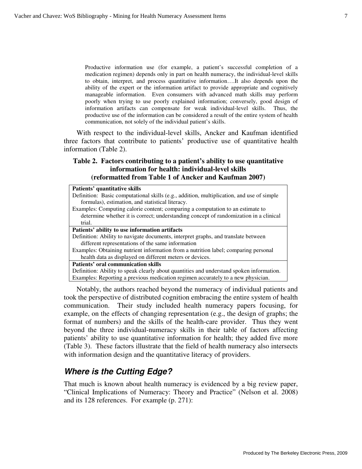Productive information use (for example, a patient's successful completion of a medication regimen) depends only in part on health numeracy, the individual-level skills to obtain, interpret, and process quantitative information….It also depends upon the ability of the expert or the information artifact to provide appropriate and cognitively manageable information. Even consumers with advanced math skills may perform poorly when trying to use poorly explained information; conversely, good design of information artifacts can compensate for weak individual-level skills. Thus, the productive use of the information can be considered a result of the entire system of health communication, not solely of the individual patient's skills.

With respect to the individual-level skills, Ancker and Kaufman identified three factors that contribute to patients' productive use of quantitative health information (Table 2).

#### **Table 2. Factors contributing to a patient's ability to use quantitative information for health: individual-level skills (reformatted from Table 1 of Ancker and Kaufman 2007)**

| Patients' quantitative skills                                                             |
|-------------------------------------------------------------------------------------------|
| Definition: Basic computational skills (e.g., addition, multiplication, and use of simple |
| formulas), estimation, and statistical literacy.                                          |
| Examples: Computing calorie content; comparing a computation to an estimate to            |
| determine whether it is correct; understanding concept of randomization in a clinical     |
| trial.                                                                                    |
| Patients' ability to use information artifacts                                            |
| Definition: Ability to navigate documents, interpret graphs, and translate between        |
| different representations of the same information                                         |
| Examples: Obtaining nutrient information from a nutrition label; comparing personal       |
| health data as displayed on different meters or devices.                                  |
| <b>Patients' oral communication skills</b>                                                |
| Definition: Ability to speak clearly about quantities and understand spoken information.  |
| Examples: Reporting a previous medication regimen accurately to a new physician.          |

Notably, the authors reached beyond the numeracy of individual patients and took the perspective of distributed cognition embracing the entire system of health communication. Their study included health numeracy papers focusing, for example, on the effects of changing representation (e.g., the design of graphs; the format of numbers) and the skills of the health-care provider. Thus they went beyond the three individual-numeracy skills in their table of factors affecting patients' ability to use quantitative information for health; they added five more (Table 3). These factors illustrate that the field of health numeracy also intersects with information design and the quantitative literacy of providers.

### **Where is the Cutting Edge?**

That much is known about health numeracy is evidenced by a big review paper, "Clinical Implications of Numeracy: Theory and Practice" (Nelson et al. 2008) and its 128 references. For example (p. 271):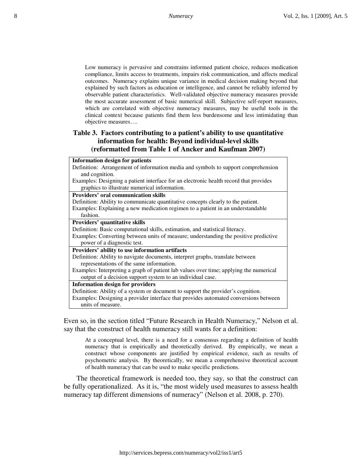Low numeracy is pervasive and constrains informed patient choice, reduces medication compliance, limits access to treatments, impairs risk communication, and affects medical outcomes. Numeracy explains unique variance in medical decision making beyond that explained by such factors as education or intelligence, and cannot be reliably inferred by observable patient characteristics. Well-validated objective numeracy measures provide the most accurate assessment of basic numerical skill. Subjective self-report measures, which are correlated with objective numeracy measures, may be useful tools in the clinical context because patients find them less burdensome and less intimidating than objective measures….

#### **Table 3. Factors contributing to a patient's ability to use quantitative information for health: Beyond individual-level skills (reformatted from Table 1 of Ancker and Kaufman 2007)**

**Information design for patients** Definition: Arrangement of information media and symbols to support comprehension and cognition.

Examples: Designing a patient interface for an electronic health record that provides graphics to illustrate numerical information.

**Providers' oral communication skills** 

Definition: Ability to communicate quantitative concepts clearly to the patient. Examples: Explaining a new medication regimen to a patient in an understandable fashion.

**Providers' quantitative skills**

Definition: Basic computational skills, estimation, and statistical literacy.

Examples: Converting between units of measure; understanding the positive predictive power of a diagnostic test.

#### **Providers' ability to use information artifacts**

Definition: Ability to navigate documents, interpret graphs, translate between representations of the same information.

Examples: Interpreting a graph of patient lab values over time; applying the numerical output of a decision support system to an individual case.

#### **Information design for providers**

Definition: Ability of a system or document to support the provider's cognition. Examples: Designing a provider interface that provides automated conversions between units of measure.

Even so, in the section titled "Future Research in Health Numeracy," Nelson et al. say that the construct of health numeracy still wants for a definition:

At a conceptual level, there is a need for a consensus regarding a definition of health numeracy that is empirically and theoretically derived. By empirically, we mean a construct whose components are justified by empirical evidence, such as results of psychometric analysis. By theoretically, we mean a comprehensive theoretical account of health numeracy that can be used to make specific predictions.

The theoretical framework is needed too, they say, so that the construct can be fully operationalized. As it is, "the most widely used measures to assess health numeracy tap different dimensions of numeracy" (Nelson et al. 2008, p. 270).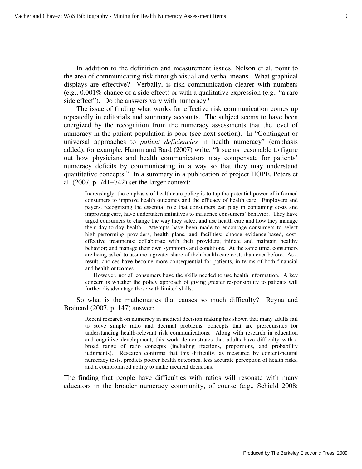In addition to the definition and measurement issues, Nelson et al. point to the area of communicating risk through visual and verbal means. What graphical displays are effective? Verbally, is risk communication clearer with numbers (e.g., 0.001% chance of a side effect) or with a qualitative expression (e.g., "a rare side effect"). Do the answers vary with numeracy?

The issue of finding what works for effective risk communication comes up repeatedly in editorials and summary accounts. The subject seems to have been energized by the recognition from the numeracy assessments that the level of numeracy in the patient population is poor (see next section). In "Contingent or universal approaches to *patient deficiencies* in health numeracy" (emphasis added), for example, Hamm and Bard (2007) write, "It seems reasonable to figure out how physicians and health communicators may compensate for patients' numeracy deficits by communicating in a way so that they may understand quantitative concepts." In a summary in a publication of project HOPE, Peters et al. (2007, p. 741−742) set the larger context:

Increasingly, the emphasis of health care policy is to tap the potential power of informed consumers to improve health outcomes and the efficacy of health care. Employers and payers, recognizing the essential role that consumers can play in containing costs and improving care, have undertaken initiatives to influence consumers' behavior. They have urged consumers to change the way they select and use health care and how they manage their day-to-day health. Attempts have been made to encourage consumers to select high-performing providers, health plans, and facilities; choose evidence-based, costeffective treatments; collaborate with their providers; initiate and maintain healthy behavior; and manage their own symptoms and conditions. At the same time, consumers are being asked to assume a greater share of their health care costs than ever before. As a result, choices have become more consequential for patients, in terms of both financial and health outcomes.

However, not all consumers have the skills needed to use health information. A key concern is whether the policy approach of giving greater responsibility to patients will further disadvantage those with limited skills.

So what is the mathematics that causes so much difficulty? Reyna and Brainard (2007, p. 147) answer:

Recent research on numeracy in medical decision making has shown that many adults fail to solve simple ratio and decimal problems, concepts that are prerequisites for understanding health-relevant risk communications. Along with research in education and cognitive development, this work demonstrates that adults have difficulty with a broad range of ratio concepts (including fractions, proportions, and probability judgments). Research confirms that this difficulty, as measured by content-neutral numeracy tests, predicts poorer health outcomes, less accurate perception of health risks, and a compromised ability to make medical decisions.

The finding that people have difficulties with ratios will resonate with many educators in the broader numeracy community, of course (e.g., Schield 2008;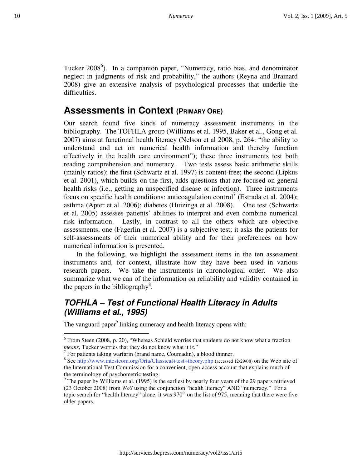Tucker 2008<sup>6</sup>). In a companion paper, "Numeracy, ratio bias, and denominator neglect in judgments of risk and probability," the authors (Reyna and Brainard 2008) give an extensive analysis of psychological processes that underlie the difficulties.

# **Assessments in Context (PRIMARY ORE)**

Our search found five kinds of numeracy assessment instruments in the bibliography. The TOFHLA group (Williams et al. 1995, Baker et al., Gong et al. 2007) aims at functional health literacy (Nelson et al 2008, p. 264: "the ability to understand and act on numerical health information and thereby function effectively in the health care environment"); these three instruments test both reading comprehension and numeracy. Two tests assess basic arithmetic skills (mainly ratios); the first (Schwartz et al. 1997) is content-free; the second (Lipkus et al. 2001), which builds on the first, adds questions that are focused on general health risks (i.e., getting an unspecified disease or infection). Three instruments focus on specific health conditions: anticoagulation control<sup>7</sup> (Estrada et al. 2004); asthma (Apter et al. 2006); diabetes (Huizinga et al. 2008). One test (Schwartz et al. 2005) assesses patients' abilities to interpret and even combine numerical risk information. Lastly, in contrast to all the others which are objective assessments, one (Fagerlin et al. 2007) is a subjective test; it asks the patients for self-assessments of their numerical ability and for their preferences on how numerical information is presented.

In the following, we highlight the assessment items in the ten assessment instruments and, for context, illustrate how they have been used in various research papers. We take the instruments in chronological order. We also summarize what we can of the information on reliability and validity contained in the papers in the bibliography<sup>8</sup>.

# **TOFHLA – Test of Functional Health Literacy in Adults (Williams et al., 1995)**

The vanguard paper<sup>9</sup> linking numeracy and health literacy opens with:

<u>.</u>

 $6$  From Steen (2008, p. 20), "Whereas Schield worries that students do not know what a fraction *means*, Tucker worries that they do not know what it i*s*."

 $<sup>7</sup>$  For patients taking warfarin (brand name, Coumadin), a blood thinner.</sup>

<sup>&</sup>lt;sup>8</sup> See http://www.intestcom.org/Orta/Classical+test+theory.php (accessed 12/29/08) on the Web site of the International Test Commission for a convenient, open-access account that explains much of the terminology of psychometric testing.

<sup>&</sup>lt;sup>9</sup> The paper by Williams et al. (1995) is the earliest by nearly four years of the 29 papers retrieved (23 October 2008) from *WoS* using the conjunction "health literacy" AND "numeracy." For a topic search for "health literacy" alone, it was  $970<sup>th</sup>$  on the list of 975, meaning that there were five older papers.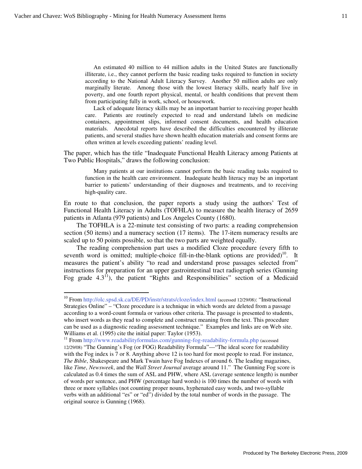<u>.</u>

An estimated 40 million to 44 million adults in the United States are functionally illiterate, i.e., they cannot perform the basic reading tasks required to function in society according to the National Adult Literacy Survey. Another 50 million adults are only marginally literate. Among those with the lowest literacy skills, nearly half live in poverty, and one fourth report physical, mental, or health conditions that prevent them from participating fully in work, school, or housework.

Lack of adequate literacy skills may be an important barrier to receiving proper health care. Patients are routinely expected to read and understand labels on medicine containers, appointment slips, informed consent documents, and health education materials. Anecdotal reports have described the difficulties encountered by illiterate patients, and several studies have shown health education materials and consent forms are often written at levels exceeding patients' reading level.

The paper, which has the title "Inadequate Functional Health Literacy among Patients at Two Public Hospitals," draws the following conclusion:

Many patients at our institutions cannot perform the basic reading tasks required to function in the health care environment. Inadequate health literacy may be an important barrier to patients' understanding of their diagnoses and treatments, and to receiving high-quality care.

En route to that conclusion, the paper reports a study using the authors' Test of Functional Health Literacy in Adults (TOFHLA) to measure the health literacy of 2659 patients in Atlanta (979 patients) and Los Angeles County (1680).

The TOFHLA is a 22-minute test consisting of two parts: a reading comprehension section (50 items) and a numeracy section (17 items). The 17-item numeracy results are scaled up to 50 points possible, so that the two parts are weighted equally.

The reading comprehension part uses a modified Cloze procedure (every fifth to seventh word is omitted; multiple-choice fill-in-the-blank options are provided)<sup>10</sup>. It measures the patient's ability "to read and understand prose passages selected from" instructions for preparation for an upper gastrointestinal tract radiograph series (Gunning Fog grade  $4.3<sup>11</sup>$ ), the patient "Rights and Responsibilities" section of a Medicaid

<sup>&</sup>lt;sup>10</sup> From http://olc.spsd.sk.ca/DE/PD/instr/strats/cloze/index.html (accessed 12/29/08): "Instructional Strategies Online" – "Cloze procedure is a technique in which words are deleted from a passage according to a word-count formula or various other criteria. The passage is presented to students, who insert words as they read to complete and construct meaning from the text. This procedure can be used as a diagnostic reading assessment technique." Examples and links are on Web site. Williams et al. (1995) cite the initial paper: Taylor (1953).

<sup>&</sup>lt;sup>11</sup> From http://www.readabilityformulas.com/gunning-fog-readability-formula.php (accessed 12/29/08) "The Gunning's Fog (or FOG) Readability Formula"—"The ideal score for readability with the Fog index is 7 or 8. Anything above 12 is too hard for most people to read. For instance, *The Bible*, Shakespeare and Mark Twain have Fog Indexes of around 6. The leading magazines, like *Time*, *Newsweek*, and the *Wall Street Journal* average around 11." The Gunning Fog score is calculated as 0.4 times the sum of ASL and PHW, where ASL (average sentence length) is number of words per sentence, and PHW (percentage hard words) is 100 times the number of words with three or more syllables (not counting proper nouns, hyphenated easy words, and two-syllable verbs with an additional "es" or "ed") divided by the total number of words in the passage. The original source is Gunning (1968).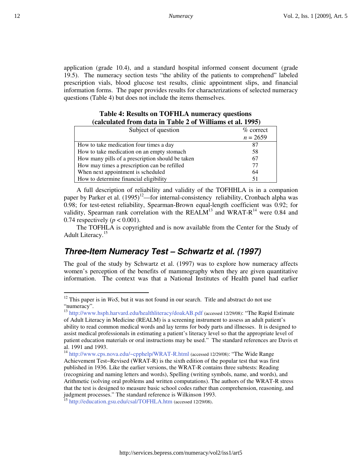application (grade 10.4), and a standard hospital informed consent document (grade 19.5). The numeracy section tests "the ability of the patients to comprehend" labeled prescription vials, blood glucose test results, clinic appointment slips, and financial information forms. The paper provides results for characterizations of selected numeracy questions (Table 4) but does not include the items themselves.

| calculated II only data in Table 2 of Williams et al. 1770/ |              |
|-------------------------------------------------------------|--------------|
| Subject of question                                         | $\%$ correct |
|                                                             | $n = 2659$   |
| How to take medication four times a day                     | 87           |
| How to take medication on an empty stomach                  | 58           |
| How many pills of a prescription should be taken            | 67           |
| How may times a prescription can be refilled                | 77           |
| When next appointment is scheduled                          | 64           |
| How to determine financial eligibility                      | 51           |

#### **Table 4: Results on TOFHLA numeracy questions (calculated from data in Table 2 of Williams et al. 1995)**

A full description of reliability and validity of the TOFHHLA is in a companion paper by Parker et al.  $(1995)^{12}$ —for internal-consistency reliability, Cronbach alpha was 0.98; for test-retest reliability, Spearman-Brown equal-length coefficient was 0.92; for validity, Spearman rank correlation with the REALM<sup>13</sup> and WRAT-R<sup>14</sup> were 0.84 and 0.74 respectively ( $p < 0.001$ ).

The TOFHLA is copyrighted and is now available from the Center for the Study of Adult Literacy.<sup>15</sup>

## **Three-Item Numeracy Test – Schwartz et al. (1997)**

The goal of the study by Schwartz et al. (1997) was to explore how numeracy affects women's perception of the benefits of mammography when they are given quantitative information. The context was that a National Institutes of Health panel had earlier

 $\overline{a}$ 

 $12$ <sup>12</sup> This paper is in *WoS*, but it was not found in our search. Title and abstract do not use "numeracy".

<sup>&</sup>lt;sup>13</sup> http://www.hsph.harvard.edu/healthliteracy/doakAB.pdf (accessed 12/29/08): "The Rapid Estimate of Adult Literacy in Medicine (REALM) is a screening instrument to assess an adult patient's ability to read common medical words and lay terms for body parts and illnesses. It is designed to assist medical professionals in estimating a patient's literacy level so that the appropriate level of patient education materials or oral instructions may be used." The standard references are Davis et al. 1991 and 1993.

<sup>14</sup> http://www.cps.nova.edu/~cpphelp/WRAT-R.html (accessed 12/29/08): "The Wide Range

Achievement Test−Revised (WRAT-R) is the sixth edition of the popular test that was first published in 1936. Like the earlier versions, the WRAT-R contains three subtests: Reading (recognizing and naming letters and words), Spelling (writing symbols, name, and words), and Arithmetic (solving oral problems and written computations). The authors of the WRAT-R stress that the test is designed to measure basic school codes rather than comprehension, reasoning, and judgment processes." The standard reference is Wilkinson 1993.

<sup>&</sup>lt;sup>15</sup> http://education.gsu.edu/csal/TOFHLA.htm (accessed 12/29/08).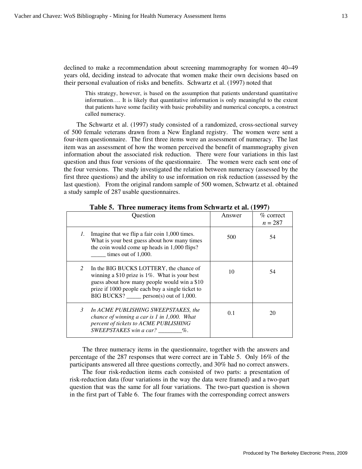declined to make a recommendation about screening mammography for women 40−49 years old, deciding instead to advocate that women make their own decisions based on their personal evaluation of risks and benefits. Schwartz et al. (1997) noted that

This strategy, however, is based on the assumption that patients understand quantitative information…. It is likely that quantitative information is only meaningful to the extent that patients have some facility with basic probability and numerical concepts, a construct called numeracy.

The Schwartz et al. (1997) study consisted of a randomized, cross-sectional survey of 500 female veterans drawn from a New England registry. The women were sent a four-item questionnaire. The first three items were an assessment of numeracy. The last item was an assessment of how the women perceived the benefit of mammography given information about the associated risk reduction. There were four variations in this last question and thus four versions of the questionnaire. The women were each sent one of the four versions. The study investigated the relation between numeracy (assessed by the first three questions) and the ability to use information on risk reduction (assessed by the last question). From the original random sample of 500 women, Schwartz et al. obtained a study sample of 287 usable questionnaires.

|                | Question                                                                                                                                                                                                                                  | Answer | $\%$ correct<br>$n = 287$ |
|----------------|-------------------------------------------------------------------------------------------------------------------------------------------------------------------------------------------------------------------------------------------|--------|---------------------------|
| 1.             | Imagine that we flip a fair coin 1,000 times.<br>What is your best guess about how many times<br>the coin would come up heads in 1,000 flips?<br>times out of $1,000$ .                                                                   | 500    | 54                        |
| $\overline{2}$ | In the BIG BUCKS LOTTERY, the chance of<br>winning a $$10$ prize is 1%. What is your best<br>guess about how many people would win a \$10<br>prize if 1000 people each buy a single ticket to<br>BIG BUCKS? _____ person(s) out of 1,000. | 10     | 54                        |
| 3              | In ACME PUBLISHING SWEEPSTAKES, the<br>chance of winning a car is $1$ in $1,000$ . What<br>percent of tickets to ACME PUBLISHING<br>SWEEPSTAKES win a car? %.                                                                             | 0.1    | 20                        |

**Table 5. Three numeracy items from Schwartz et al. (1997)** 

The three numeracy items in the questionnaire, together with the answers and percentage of the 287 responses that were correct are in Table 5. Only 16% of the participants answered all three questions correctly, and 30% had no correct answers.

The four risk-reduction items each consisted of two parts: a presentation of risk-reduction data (four variations in the way the data were framed) and a two-part question that was the same for all four variations. The two-part question is shown in the first part of Table 6. The four frames with the corresponding correct answers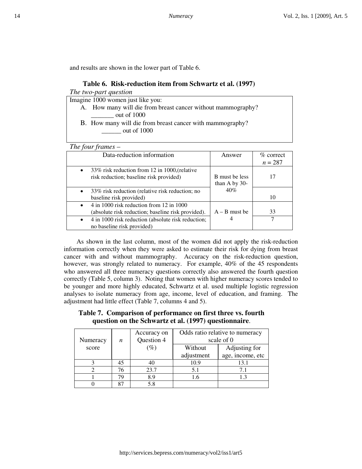and results are shown in the lower part of Table 6.

| Table 6. Risk-reduction item from Schwartz et al. (1997)                                              |                                          |                          |  |  |  |  |
|-------------------------------------------------------------------------------------------------------|------------------------------------------|--------------------------|--|--|--|--|
| The two-part question                                                                                 |                                          |                          |  |  |  |  |
| Imagine 1000 women just like you:                                                                     |                                          |                          |  |  |  |  |
| A. How many will die from breast cancer without mammography?<br>out of 1000                           |                                          |                          |  |  |  |  |
| B. How many will die from breast cancer with mammography?<br>out of 1000                              |                                          |                          |  |  |  |  |
| The four frames $-$                                                                                   |                                          |                          |  |  |  |  |
| Data-reduction information                                                                            | Answer                                   | $%$ correct<br>$n = 287$ |  |  |  |  |
| 33% risk reduction from 12 in 1000, (relative<br>$\bullet$<br>risk reduction; baseline risk provided) | <b>B</b> must be less<br>than A by $30-$ | 17                       |  |  |  |  |
| 33% risk reduction (relative risk reduction; no<br>baseline risk provided)                            | $40\%$                                   | 10                       |  |  |  |  |
| $4$ in 1000 risk reduction from 12 in 1000<br>(absolute risk reduction; baseline risk provided).      | $A - B$ must be                          | 33                       |  |  |  |  |
| 4 in 1000 risk reduction (absolute risk reduction;<br>no baseline risk provided)                      | 4                                        | 7                        |  |  |  |  |

As shown in the last column, most of the women did not apply the risk-reduction information correctly when they were asked to estimate their risk for dying from breast cancer with and without mammography. Accuracy on the risk-reduction question, however, was strongly related to numeracy. For example, 40% of the 45 respondents who answered all three numeracy questions correctly also answered the fourth question correctly (Table 5, column 3). Noting that women with higher numeracy scores tended to be younger and more highly educated, Schwartz et al. used multiple logistic regression analyses to isolate numeracy from age, income, level of education, and framing. The adjustment had little effect (Table 7, columns 4 and 5).

#### **Table 7. Comparison of performance on first three vs. fourth question on the Schwartz et al. (1997) questionnaire**.

| Numeracy | n  | Accuracy on<br>Question 4 | Odds ratio relative to numeracy<br>scale of 0 |                  |  |
|----------|----|---------------------------|-----------------------------------------------|------------------|--|
| score    |    | $\left( \% \right)$       | Without                                       | Adjusting for    |  |
|          |    |                           | adjustment                                    | age, income, etc |  |
|          | 45 | 40                        | 10.9                                          | 13.1             |  |
|          | 76 | 23.7                      | 5.1                                           | 7.1              |  |
|          | 79 | 8.9                       | 1.6                                           |                  |  |
|          | oπ | 5.8                       |                                               |                  |  |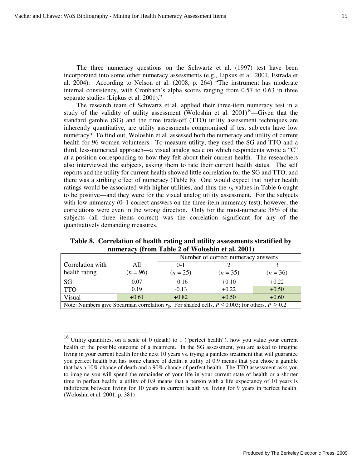$\overline{a}$ 

The three numeracy questions on the Schwartz et al. (1997) test have been incorporated into some other numeracy assessments (e.g., Lipkus et al. 2001, Estrada et al. 2004). According to Nelson et al. (2008, p. 264) "The instrument has moderate internal consistency, with Cronbach's alpha scores ranging from 0.57 to 0.63 in three separate studies (Lipkus et al. 2001)."

The research team of Schwartz et al. applied their three-item numeracy test in a study of the validity of utility assessment (Woloshin et al.  $2001$ )<sup>16</sup>—Given that the standard gamble (SG) and the time trade-off (TTO) utility assessment techniques are inherently quantitative, are utility assessments compromised if test subjects have low numeracy? To find out, Woloshin et al. assessed both the numeracy and utility of current health for 96 women volunteers. To measure utility, they used the SG and TTO and a third, less-numerical approach—a visual analog scale on which respondents wrote a "C" at a position corresponding to how they felt about their current health. The researchers also interviewed the subjects, asking them to rate their current health status. The self reports and the utility for current health showed little correlation for the SG and TTO, and there was a striking effect of numeracy (Table 8). One would expect that higher health ratings would be associated with higher utilities, and thus the  $r_s$ -values in Table 6 ought to be positive—and they were for the visual analog utility assessment. For the subjects with low numeracy  $(0-1$  correct answers on the three-item numeracy test), however, the correlations were even in the wrong direction. Only for the most-numerate 38% of the subjects (all three items correct) was the correlation significant for any of the quantitatively demanding measures.

|                                                                                                           |            | Number of correct numeracy answers |            |            |  |  |
|-----------------------------------------------------------------------------------------------------------|------------|------------------------------------|------------|------------|--|--|
| Correlation with                                                                                          | A11        | $0-1$                              |            |            |  |  |
| health rating                                                                                             | $(n = 96)$ | $(n = 25)$                         | $(n = 35)$ | $(n = 36)$ |  |  |
| SG                                                                                                        | 0.07       | $-0.16$                            | $+0.10$    | $+0.22$    |  |  |
| <b>TTO</b>                                                                                                | 0.19       | $-0.13$                            | $+0.22$    | $+0.50$    |  |  |
| Visual                                                                                                    | $+0.61$    | $+0.82$                            | $+0.50$    | $+0.60$    |  |  |
| Note: Numbers give Spearman correlation $r_s$ . For shaded cells, $P \le 0.003$ ; for others, $P \ge 0.2$ |            |                                    |            |            |  |  |

**Table 8. Correlation of health rating and utility assessments stratified by numeracy (from Table 2 of Woloshin et al. 2001)** 

<sup>&</sup>lt;sup>16</sup> Utility quantifies, on a scale of 0 (death) to 1 ("perfect health"), how you value your current health or the possible outcome of a treatment. In the SG assessment, you are asked to imagine living in your current health for the next 10 years vs. trying a painless treatment that will guarantee you perfect health but has some chance of death; a utility of 0.9 means that you chose a gamble that has a 10% chance of death and a 90% chance of perfect health. The TTO assessment asks you to imagine you will spend the remainder of your life in your current state of health or a shorter time in perfect health; a utility of 0.9 means that a person with a life expectancy of 10 years is indifferent between living for 10 years in current health vs. living for 9 years in perfect health. (Woloshin et al. 2001, p. 381)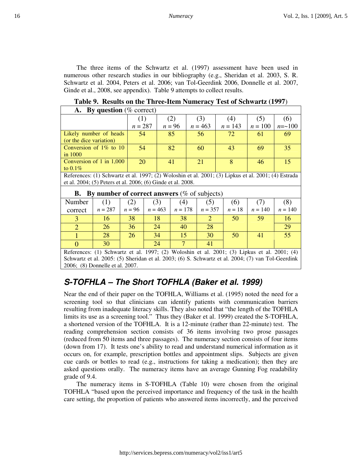The three items of the Schwartz et al. (1997) assessment have been used in numerous other research studies in our bibliography (e.g., Sheridan et al. 2003, S. R. Schwartz et al. 2004, Peters et al. 2006; van Tol-Geerdink 2006, Donnelle et al. 2007, Ginde et al., 2008, see appendix). Table 9 attempts to collect results.

| <b>By question</b> ( $%$ correct)<br><b>A.</b>                                                      |           |           |           |          |           |     |           |  |           |           |                |
|-----------------------------------------------------------------------------------------------------|-----------|-----------|-----------|----------|-----------|-----|-----------|--|-----------|-----------|----------------|
|                                                                                                     |           | (1)       | (2)       |          |           | (3) |           |  | (4)       | (5)       | (6)            |
|                                                                                                     |           | $n = 287$ |           | $n = 96$ |           |     | $n = 463$ |  | $n = 143$ | $n = 100$ | $n = \sim 100$ |
| Likely number of heads                                                                              |           | 54        |           | 85       |           | 56  |           |  | 72        | 61        | 69             |
| (or the dice variation)                                                                             |           |           |           |          |           |     |           |  |           |           |                |
| Conversion of $1\%$ to $10$                                                                         |           | 54        |           | 82       |           |     | 60        |  | 43        | 69        | 35             |
| in $1000$                                                                                           |           |           |           |          |           |     |           |  |           |           |                |
| Conversion of 1 in 1,000                                                                            |           | 20        |           | 41       |           |     | 21        |  | 8         | 46        | 15             |
| to $0.1\%$                                                                                          |           |           |           |          |           |     |           |  |           |           |                |
| References: (1) Schwartz et al. 1997; (2) Woloshin et al. 2001; (3) Lipkus et al. 2001; (4) Estrada |           |           |           |          |           |     |           |  |           |           |                |
| et al. 2004; (5) Peters et al. 2006; (6) Ginde et al. 2008.                                         |           |           |           |          |           |     |           |  |           |           |                |
| By number of correct answers ( $\%$ of subjects)<br>В.                                              |           |           |           |          |           |     |           |  |           |           |                |
| Number                                                                                              | (1)       |           |           |          | (4)       |     |           |  | (6)       |           | (8)            |
|                                                                                                     |           | (2)       | (3)       |          |           |     | (5)       |  |           | (7)       |                |
| correct                                                                                             | $n = 287$ | $n = 96$  | $n = 463$ |          | $n = 178$ |     | $n = 357$ |  | $n=18$    | $n = 140$ | $n = 140$      |
| 3                                                                                                   | 16        | 38        | 18        |          | 38        |     | 2         |  | 50        | 59        | 16             |
| $\overline{2}$                                                                                      | 26        | 36        | 24        |          | 40        |     | 28        |  |           |           | 29             |
| 1                                                                                                   | 28        | 26        | 34        |          | 15        |     | 30        |  | 50        | 41        | 55             |
| $\Omega$                                                                                            | 30        |           | 24        |          | 7         |     | 41        |  |           |           |                |

**Table 9. Results on the Three-Item Numeracy Test of Schwartz (1997**)

References: (1) Schwartz et al. 1997; (2) Woloshin et al. 2001; (3) Lipkus et al. 2001; (4) Schwartz et al. 2005: (5) Sheridan et al. 2003; (6) S. Schwartz et al. 2004; (7) van Tol-Geerdink 2006; (8) Donnelle et al. 2007.

# **S-TOFHLA – The Short TOFHLA (Baker et al. 1999)**

Near the end of their paper on the TOFHLA, Williams et al. (1995) noted the need for a screening tool so that clinicians can identify patients with communication barriers resulting from inadequate literacy skills. They also noted that "the length of the TOFHLA limits its use as a screening tool." Thus they (Baker et al. 1999) created the S-TOFHLA, a shortened version of the TOFHLA. It is a 12-minute (rather than 22-minute) test. The reading comprehension section consists of 36 items involving two prose passages (reduced from 50 items and three passages). The numeracy section consists of four items (down from 17). It tests one's ability to read and understand numerical information as it occurs on, for example, prescription bottles and appointment slips. Subjects are given cue cards or bottles to read (e.g., instructions for taking a medication); then they are asked questions orally. The numeracy items have an average Gunning Fog readability grade of 9.4.

The numeracy items in S-TOFHLA (Table 10) were chosen from the original TOFHLA "based upon the perceived importance and frequency of the task in the health care setting, the proportion of patients who answered items incorrectly, and the perceived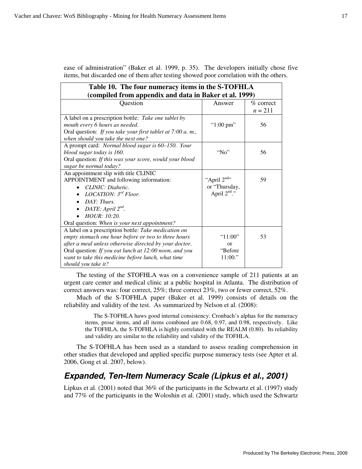**Table 10. The four numeracy items in the S-TOFHLA (compiled from appendix and data in Baker et al. 1999)** Question Answer % correct  $n = 211$ A label on a prescription bottle: *Take one tablet by mouth every 6 hours as needed*. Oral question: *If you take your first tablet at 7:00 a. m., when should you take the next one?* " $1:00 \text{ pm}$ " | 56 A prompt card: *Normal blood sugar is 60–150. Your blood sugar today is 160*. Oral question: *If this was your score, would your blood sugar be normal today?* "No" 56 An appointment slip with title CLINIC APPOINTMENT and following information: • *CLINIC: Diabetic.* • *LOCATION: 3rd Floor.*  • *DAY: Thurs.*  • *DATE: April*  $2^{nd}$ *.* • *HOUR: 10:20.* Oral question: *When is your next appointment?* "April  $2^{nd}$ " or "Thursday, April  $2<sup>nd</sup>$ ." 59 A label on a prescription bottle: *Take medication on empty stomach one hour before or two to three hours after a meal unless otherwise directed by your doctor*. Oral question: *If you eat lunch at 12:00 noon, and you want to take this medicine before lunch, what time should you take it?* "11:00" or "Before 11:00." 53

ease of administration" (Baker et al. 1999, p. 35). The developers initially chose five items, but discarded one of them after testing showed poor correlation with the others.

The testing of the STOFHLA was on a convenience sample of 211 patients at an urgent care center and medical clinic at a public hospital in Atlanta. The distribution of correct answers was: four correct, 25%; three correct 23%, two or fewer correct, 52%.

Much of the S-TOFHLA paper (Baker et al. 1999) consists of details on the reliability and validity of the test. As summarized by Nelson et al. (2008):

The S-TOFHLA haws good internal consistency: Cronbach's alphas for the numeracy items, prose items, and all items combined are 0.68, 0.97, and 0.98, respectively. Like the TOFHLA, the S-TOFHLA is highly correlated with the REALM (0.80). Its reliability and validity are similar to the reliability and validity of the TOFHLA.

The S-TOFHLA has been used as a standard to assess reading comprehension in other studies that developed and applied specific purpose numeracy tests (see Apter et al. 2006, Gong et al. 2007, below).

# **Expanded, Ten-Item Numeracy Scale (Lipkus et al., 2001)**

Lipkus et al. (2001) noted that 36% of the participants in the Schwartz et al. (1997) study and 77% of the participants in the Woloshin et al. (2001) study, which used the Schwartz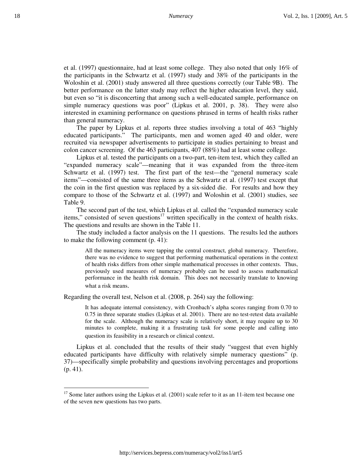et al. (1997) questionnaire, had at least some college. They also noted that only 16% of the participants in the Schwartz et al. (1997) study and 38% of the participants in the Woloshin et al. (2001) study answered all three questions correctly (our Table 9B). The better performance on the latter study may reflect the higher education level, they said, but even so "it is disconcerting that among such a well-educated sample, performance on simple numeracy questions was poor" (Lipkus et al. 2001, p. 38). They were also interested in examining performance on questions phrased in terms of health risks rather than general numeracy.

The paper by Lipkus et al. reports three studies involving a total of 463 "highly educated participants." The participants, men and women aged 40 and older, were recruited via newspaper advertisements to participate in studies pertaining to breast and colon cancer screening. Of the 463 participants, 407 (88%) had at least some college.

Lipkus et al. tested the participants on a two-part, ten-item test, which they called an "expanded numeracy scale"—meaning that it was expanded from the three-item Schwartz et al. (1997) test. The first part of the test—the "general numeracy scale items"—consisted of the same three items as the Schwartz et al. (1997) test except that the coin in the first question was replaced by a six-sided die. For results and how they compare to those of the Schwartz et al. (1997) and Woloshin et al. (2001) studies, see Table 9.

The second part of the test, which Lipkus et al. called the "expanded numeracy scale items," consisted of seven questions $17$  written specifically in the context of health risks. The questions and results are shown in the Table 11.

The study included a factor analysis on the 11 questions. The results led the authors to make the following comment (p. 41):

All the numeracy items were tapping the central construct, global numeracy. Therefore, there was no evidence to suggest that performing mathematical operations in the context of health risks differs from other simple mathematical processes in other contexts. Thus, previously used measures of numeracy probably can be used to assess mathematical performance in the health risk domain. This does not necessarily translate to knowing what a risk means.

Regarding the overall test, Nelson et al. (2008, p. 264) say the following:

<u>.</u>

It has adequate internal consistency, with Cronbach's alpha scores ranging from 0.70 to 0.75 in three separate studies (Lipkus et al. 2001). There are no test-retest data available for the scale. Although the numeracy scale is relatively short, it may require up to 30 minutes to complete, making it a frustrating task for some people and calling into question its feasibility in a research or clinical context.

Lipkus et al. concluded that the results of their study "suggest that even highly educated participants have difficulty with relatively simple numeracy questions" (p. 37)—specifically simple probability and questions involving percentages and proportions (p. 41).

<sup>&</sup>lt;sup>17</sup> Some later authors using the Lipkus et al.  $(2001)$  scale refer to it as an 11-item test because one of the seven new questions has two parts.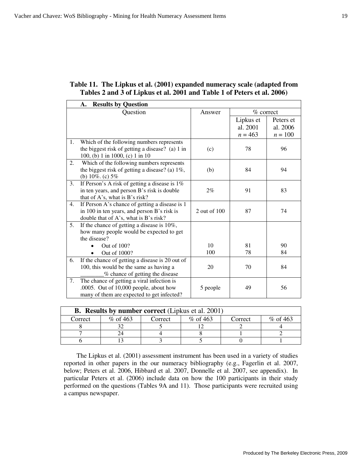#### **Table 11. The Lipkus et al. (2001) expanded numeracy scale (adapted from Tables 2 and 3 of Lipkus et al. 2001 and Table 1 of Peters et al. 2006)**

|    | <b>Results by Question</b><br>А.                                                                                                       |              |                                    |                                  |
|----|----------------------------------------------------------------------------------------------------------------------------------------|--------------|------------------------------------|----------------------------------|
|    | Question                                                                                                                               | Answer       | $\%$ correct                       |                                  |
|    |                                                                                                                                        |              | Lipkus et<br>al. 2001<br>$n = 463$ | Peters et<br>al. 2006<br>$n=100$ |
| 1. | Which of the following numbers represents<br>the biggest risk of getting a disease? (a) 1 in<br>100, (b) 1 in 1000, (c) 1 in 10        | (c)          | 78                                 | 96                               |
| 2. | Which of the following numbers represents<br>the biggest risk of getting a disease? (a) $1\%$ ,<br>(b) $10\%$ . (c) $5\%$              | (b)          | 84                                 | 94                               |
| 3. | If Person's A risk of getting a disease is $1\%$<br>in ten years, and person B's risk is double<br>that of A's, what is B's risk?      | 2%           | 91                                 | 83                               |
| 4. | If Person A's chance of getting a disease is 1<br>in 100 in ten years, and person B's risk is<br>double that of A's, what is B's risk? | 2 out of 100 | 87                                 | 74                               |
| 5. | If the chance of getting a disease is 10%,<br>how many people would be expected to get<br>the disease?<br>Out of 100?<br>Out of 1000?  | 10<br>100    | 81<br>78                           | 90<br>84                         |
| 6. | If the chance of getting a disease is 20 out of<br>100, this would be the same as having a<br>% chance of getting the disease          | 20           | 70                                 | 84                               |
| 7. | The chance of getting a viral infection is<br>.0005. Out of 10,000 people, about how<br>many of them are expected to get infected?     | 5 people     | 49                                 | 56                               |

| <b>B.</b> Results by number correct (Lipkus et al. 2001) |            |         |            |         |            |  |  |  |
|----------------------------------------------------------|------------|---------|------------|---------|------------|--|--|--|
| Correct                                                  | % of $463$ | Correct | $%$ of 463 | Correct | $%$ of 463 |  |  |  |
|                                                          |            |         |            |         |            |  |  |  |
|                                                          |            |         |            |         |            |  |  |  |
|                                                          |            |         |            |         |            |  |  |  |

The Lipkus et al. (2001) assessment instrument has been used in a variety of studies reported in other papers in the our numeracy bibliography (e.g., Fagerlin et al. 2007, below; Peters et al. 2006, Hibbard et al. 2007, Donnelle et al. 2007, see appendix). In particular Peters et al. (2006) include data on how the 100 participants in their study performed on the questions (Tables 9A and 11). Those participants were recruited using a campus newspaper.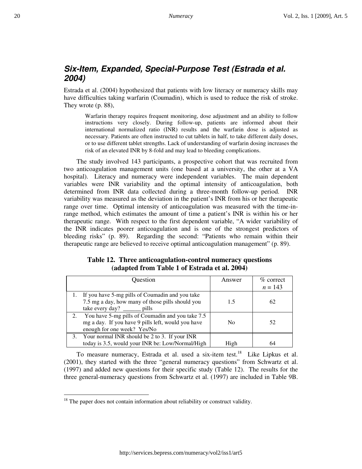# **Six-Item, Expanded, Special-Purpose Test (Estrada et al. 2004)**

Estrada et al. (2004) hypothesized that patients with low literacy or numeracy skills may have difficulties taking warfarin (Coumadin), which is used to reduce the risk of stroke. They wrote (p. 88),

Warfarin therapy requires frequent monitoring, dose adjustment and an ability to follow instructions very closely. During follow-up, patients are informed about their international normalized ratio (INR) results and the warfarin dose is adjusted as necessary. Patients are often instructed to cut tablets in half, to take different daily doses, or to use different tablet strengths. Lack of understanding of warfarin dosing increases the risk of an elevated INR by 8-fold and may lead to bleeding complications.

The study involved 143 participants, a prospective cohort that was recruited from two anticoagulation management units (one based at a university, the other at a VA hospital). Literacy and numeracy were independent variables. The main dependent variables were INR variability and the optimal intensity of anticoagulation, both determined from INR data collected during a three-month follow-up period. INR variability was measured as the deviation in the patient's INR from his or her therapeutic range over time. Optimal intensity of anticoagulation was measured with the time-inrange method, which estimates the amount of time a patient's INR is within his or her therapeutic range. With respect to the first dependent variable, "A wider variability of the INR indicates poorer anticoagulation and is one of the strongest predictors of bleeding risks" (p. 89). Regarding the second: "Patients who remain within their therapeutic range are believed to receive optimal anticoagulation management" (p. 89).

#### **Table 12. Three anticoagulation-control numeracy questions (adapted from Table 1 of Estrada et al. 2004)**

| Question                                                                                                                                   | Answer         | $\%$ correct<br>$n = 143$ |
|--------------------------------------------------------------------------------------------------------------------------------------------|----------------|---------------------------|
| 1. If you have 5-mg pills of Coumadin and you take<br>7.5 mg a day, how many of those pills should you<br>take every day? $\_\_\_\_$ pills | 1.5            | 62                        |
| 2. You have 5-mg pills of Coumadin and you take 7.5<br>mg a day. If you have 9 pills left, would you have<br>enough for one week? Yes/No   | N <sub>0</sub> | 52                        |
| 3. Your normal INR should be 2 to 3. If your INR<br>today is 3.5, would your INR be: Low/Normal/High                                       | High           | 64                        |

To measure numeracy, Estrada et al. used a six-item test.<sup>18</sup> Like Lipkus et al. (2001), they started with the three "general numeracy questions" from Schwartz et al. (1997) and added new questions for their specific study (Table 12). The results for the three general-numeracy questions from Schwartz et al. (1997) are included in Table 9B.

<u>.</u>

 $18$  The paper does not contain information about reliability or construct validity.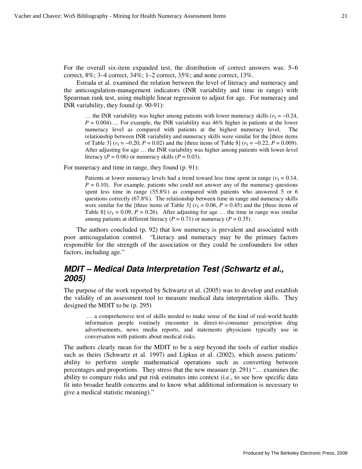For the overall six-item expanded test, the distribution of correct answers was: 5–6 correct, 8%; 3–4 correct, 34%; 1–2 correct, 35%; and none correct, 13%.

Estrada et al. examined the relation between the level of literacy and numeracy and the anticoagulation-management indicators (INR variability and time in range) with Spearman rank test, using multiple linear regression to adjust for age. For numeracy and INR variability, they found (p. 90-91):

… the INR variability was higher among patients with lower numeracy skills  $(r<sub>S</sub> = −0.24,$  $P = 0.004$ .... For example, the INR variability was  $46\%$  higher in patients at the lower numeracy level as compared with patients at the highest numeracy level. The relationship between INR variability and numeracy skills were similar for the [three items of Table 3] ( $r_s$  = −0.20, *P* = 0.02) and the [three items of Table 8] ( $r_s$  = −0.22, *P* = 0.009). After adjusting for age … the INR variability was higher among patients with lower-level literacy ( $P = 0.06$ ) or numeracy skills ( $P = 0.03$ ).

For numeracy and time in range, they found (p. 91):

Patients at lower numeracy levels had a trend toward less time spent in range  $(r<sub>S</sub> = 0.14,$  $P = 0.10$ ). For example, patients who could not answer any of the numeracy questions spent less time in range (55.8%) as compared with patients who answered 5 or 6 questions correctly (67.8%). The relationship between time in range and numeracy skills were similar for the [three items of Table 3] ( $r<sub>S</sub> = 0.06$ ,  $P = 0.45$ ) and the [three items of Table 8]  $(r<sub>S</sub> = 0.09, P = 0.26)$ . After adjusting for age ... the time in range was similar among patients at different literacy ( $P = 0.71$ ) or numeracy ( $P = 0.35$ ).

The authors concluded (p. 92) that low numeracy is prevalent and associated with poor anticoagulation control. "Literacy and numeracy may be the primary factors responsible for the strength of the association or they could be confounders for other factors, including age."

# **MDIT – Medical Data Interpretation Test (Schwartz et al., 2005)**

The purpose of the work reported by Schwartz et al. (2005) was to develop and establish the validity of an assessment tool to measure medical data interpretation skills. They designed the MDIT to be (p. 295)

 … a comprehensive test of skills needed to make sense of the kind of real-world health information people routinely encounter in direct-to-consumer prescription drug advertisements, news media reports, and statements physicians typically use in conversation with patients about medical risks.

The authors clearly mean for the MDIT to be a step beyond the tools of earlier studies such as theirs (Schwartz et al. 1997) and Lipkus et al. (2002), which assess patients' ability to perform simple mathematical operations such as converting between percentages and proportions. They stress that the new measure (p. 291) "… examines the ability to compare risks and put risk estimates into context (i.e., to see how specific data fit into broader health concerns and to know what additional information is necessary to give a medical statistic meaning)."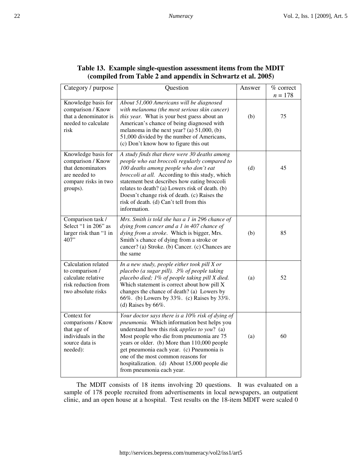| Category / purpose                                                                                                 | Question                                                                                                                                                                                                                                                                                                                                                                                                             | Answer | % correct<br>$n = 178$ |
|--------------------------------------------------------------------------------------------------------------------|----------------------------------------------------------------------------------------------------------------------------------------------------------------------------------------------------------------------------------------------------------------------------------------------------------------------------------------------------------------------------------------------------------------------|--------|------------------------|
| Knowledge basis for<br>comparison / Know<br>that a denominator is<br>needed to calculate<br>risk                   | About 51,000 Americans will be diagnosed<br>with melanoma (the most serious skin cancer)<br>this year. What is your best guess about an<br>American's chance of being diagnosed with<br>melanoma in the next year? (a) $51,000$ , (b)<br>51,000 divided by the number of Americans,<br>(c) Don't know how to figure this out                                                                                         | (b)    | 75                     |
| Knowledge basis for<br>comparison / Know<br>that denominators<br>are needed to<br>compare risks in two<br>groups). | A study finds that there were 30 deaths among<br>people who eat broccoli regularly compared to<br>100 deaths among people who don't eat<br>broccoli at all. According to this study, which<br>statement best describes how eating broccoli<br>relates to death? (a) Lowers risk of death. (b)<br>Doesn't change risk of death. (c) Raises the<br>risk of death. (d) Can't tell from this<br>information.             | (d)    | 45                     |
| Comparison task /<br>Select "1 in 206" as<br>larger risk than "1 in<br>407"                                        | Mrs. Smith is told she has a 1 in 296 chance of<br>dying from cancer and a 1 in 407 chance of<br>dying from a stroke. Which is bigger, Mrs.<br>Smith's chance of dying from a stroke or<br>cancer? (a) Stroke. (b) Cancer. (c) Chances are<br>the same                                                                                                                                                               | (b)    | 85                     |
| Calculation related<br>to comparison /<br>calculate relative<br>risk reduction from<br>two absolute risks          | In a new study, people either took pill $X$ or<br>placebo (a sugar pill). 3% of people taking<br>placebo died; 1% of people taking pill X died.<br>Which statement is correct about how pill X<br>changes the chance of death? (a) Lowers by<br>66%. (b) Lowers by 33%. (c) Raises by 33%.<br>(d) Raises by $66\%$ .                                                                                                 | (a)    | 52                     |
| Context for<br>comparisons / Know<br>that age of<br>individuals in the<br>source data is<br>needed):               | Your doctor says there is a 10% risk of dying of<br>pneumonia. Which information best helps you<br>understand how this risk <i>applies to you</i> ? (a)<br>Most people who die from pneumonia are 75<br>years or older. (b) More than 110,000 people<br>get pneumonia each year. (c) Pneumonia is<br>one of the most common reasons for<br>hospitalization. (d) About 15,000 people die<br>from pneumonia each year. | (a)    | 60                     |

### **Table 13. Example single-question assessment items from the MDIT (compiled from Table 2 and appendix in Schwartz et al. 2005)**

The MDIT consists of 18 items involving 20 questions. It was evaluated on a sample of 178 people recruited from advertisements in local newspapers, an outpatient clinic, and an open house at a hospital. Test results on the 18-item MDIT were scaled 0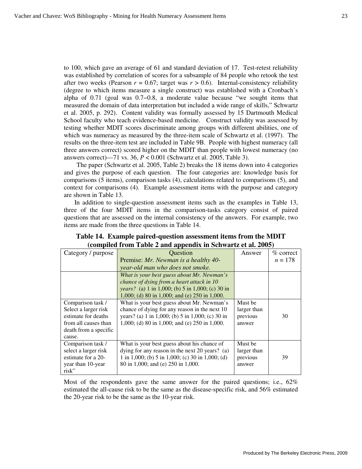to 100, which gave an average of 61 and standard deviation of 17. Test-retest reliability was established by correlation of scores for a subsample of 84 people who retook the test after two weeks (Pearson  $r = 0.67$ ; target was  $r > 0.6$ ). Internal-consistency reliability (degree to which items measure a single construct) was established with a Cronbach's alpha of 0.71 (goal was 0.7−0.8, a moderate value because "we sought items that measured the domain of data interpretation but included a wide range of skills," Schwartz et al. 2005, p. 292). Content validity was formally assessed by 15 Dartmouth Medical School faculty who teach evidence-based medicine. Construct validity was assessed by testing whether MDIT scores discriminate among groups with different abilities, one of which was numeracy as measured by the three-item scale of Schwartz et al. (1997). The results on the three-item test are included in Table 9B. People with highest numeracy (all three answers correct) scored higher on the MDIT than people with lowest numeracy (no answers correct)—71 vs. 36, *P* < 0.001 (Schwartz et al. 2005, Table 3).

The paper (Schwartz et al. 2005, Table 2) breaks the 18 items down into 4 categories and gives the purpose of each question. The four categories are: knowledge basis for comparisons (5 items), comparison tasks (4), calculations related to comparisons (5), and context for comparisons (4). Example assessment items with the purpose and category are shown in Table 13.

In addition to single-question assessment items such as the examples in Table 13, three of the four MDIT items in the comparison-tasks category consist of paired questions that are assessed on the internal consistency of the answers. For example, two items are made from the three questions in Table 14.

| Category / purpose    | Question                                         | Answer      | $\%$ correct |
|-----------------------|--------------------------------------------------|-------------|--------------|
|                       | Premise: Mr. Newman is a healthy 40-             |             | $n = 178$    |
|                       | year-old man who does not smoke.                 |             |              |
|                       | What is your best guess about Mr. Newman's       |             |              |
|                       | chance of dying from a heart attack in 10        |             |              |
|                       | years? (a) 1 in 1,000; (b) 5 in 1,000; (c) 30 in |             |              |
|                       | 1,000; (d) 80 in 1,000; and (e) 250 in 1,000.    |             |              |
| Comparison task /     | What is your best guess about Mr. Newman's       | Must be     |              |
| Select a larger risk  | chance of dying for any reason in the next 10    | larger than |              |
| estimate for deaths   | years? (a) 1 in 1,000; (b) 5 in 1,000; (c) 30 in | previous    | 30           |
| from all causes than  | 1,000; (d) 80 in 1,000; and (e) 250 in 1,000.    | answer      |              |
| death from a specific |                                                  |             |              |
| cause.                |                                                  |             |              |
| Comparison task /     | What is your best guess about his chance of      | Must be     |              |
| select a larger risk  | dying for any reason in the next 20 years? (a)   | larger than |              |
| estimate for a 20-    | 1 in 1,000; (b) 5 in 1,000; (c) 30 in 1,000; (d) | previous    | 39           |
| year than 10-year     | 80 in 1,000; and (e) 250 in 1,000.               | answer      |              |
| risk"                 |                                                  |             |              |

**Table 14. Example paired-question assessment items from the MDIT (compiled from Table 2 and appendix in Schwartz et al. 2005)**

Most of the respondents gave the same answer for the paired questions; i.e., 62% estimated the all-cause risk to be the same as the disease-specific risk, and 56% estimated the 20-year risk to be the same as the 10-year risk.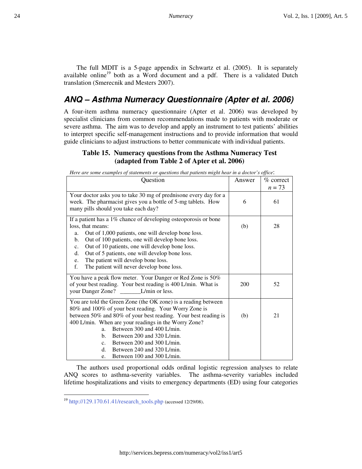The full MDIT is a 5-page appendix in Schwartz et al. (2005). It is separately available online<sup>19</sup> both as a Word document and a pdf. There is a validated Dutch translation (Smerecnik and Mesters 2007).

# **ANQ – Asthma Numeracy Questionnaire (Apter et al. 2006)**

A four-item asthma numeracy questionnaire (Apter et al. 2006) was developed by specialist clinicians from common recommendations made to patients with moderate or severe asthma. The aim was to develop and apply an instrument to test patients' abilities to interpret specific self-management instructions and to provide information that would guide clinicians to adjust instructions to better communicate with individual patients.

#### **Table 15. Numeracy questions from the Asthma Numeracy Test (adapted from Table 2 of Apter et al. 2006)**

| Question                                                                                                                                                                                                                                                                                                                                                                                                                                               | Answer | $%$ correct<br>$n = 73$ |
|--------------------------------------------------------------------------------------------------------------------------------------------------------------------------------------------------------------------------------------------------------------------------------------------------------------------------------------------------------------------------------------------------------------------------------------------------------|--------|-------------------------|
| Your doctor asks you to take 30 mg of prednisone every day for a<br>week. The pharmacist gives you a bottle of 5-mg tablets. How<br>many pills should you take each day?                                                                                                                                                                                                                                                                               | 6      | 61                      |
| If a patient has a 1% chance of developing osteoporosis or bone<br>loss, that means:<br>Out of 1,000 patients, one will develop bone loss.<br>a.<br>Out of 100 patients, one will develop bone loss.<br>$\mathbf{b}$ .<br>Out of 10 patients, one will develop bone loss.<br>c.<br>Out of 5 patients, one will develop bone loss.<br>d.<br>The patient will develop bone loss.<br>e.<br>f.<br>The patient will never develop bone loss.                | (b)    | 28                      |
| You have a peak flow meter. Your Danger or Red Zone is 50%<br>of your best reading. Your best reading is 400 L/min. What is                                                                                                                                                                                                                                                                                                                            | 200    | 52                      |
| You are told the Green Zone (the OK zone) is a reading between<br>80% and 100% of your best reading. Your Worry Zone is<br>between 50% and 80% of your best reading. Your best reading is<br>400 L/min. When are your readings in the Worry Zone?<br>Between 300 and 400 L/min.<br>a.<br>Between 200 and 320 L/min.<br>h.<br>Between 200 and 300 L/min.<br>C <sub>1</sub><br>Between 240 and 320 L/min.<br>$d_{-}$<br>Between 100 and 300 L/min.<br>e. | (b)    | 21                      |

*Here are some examples of statements or questions that patients might hear in a doctor's office*:

The authors used proportional odds ordinal logistic regression analyses to relate ANQ scores to asthma-severity variables. The asthma-severity variables included lifetime hospitalizations and visits to emergency departments (ED) using four categories

 $\overline{a}$ 

<sup>&</sup>lt;sup>19</sup> http://129.170.61.41/research\_tools.php (accessed 12/29/08).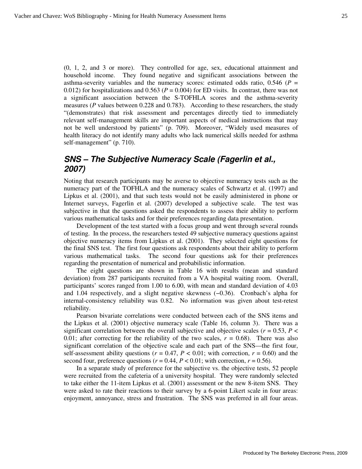(0, 1, 2, and 3 or more). They controlled for age, sex, educational attainment and household income. They found negative and significant associations between the asthma-severity variables and the numeracy scores: estimated odds ratio, 0.546 (*P* = 0.012) for hospitalizations and 0.563 ( $P = 0.004$ ) for ED visits. In contrast, there was not a significant association between the S-TOFHLA scores and the asthma-severity measures (*P* values between 0.228 and 0.783). According to these researchers, the study "(demonstrates) that risk assessment and percentages directly tied to immediately relevant self-management skills are important aspects of medical instructions that may not be well understood by patients" (p. 709). Moreover, "Widely used measures of health literacy do not identify many adults who lack numerical skills needed for asthma self-management" (p. 710).

## **SNS – The Subjective Numeracy Scale (Fagerlin et al., 2007)**

Noting that research participants may be averse to objective numeracy tests such as the numeracy part of the TOFHLA and the numeracy scales of Schwartz et al. (1997) and Lipkus et al. (2001), and that such tests would not be easily administered in phone or Internet surveys, Fagerlin et al. (2007) developed a subjective scale. The test was subjective in that the questions asked the respondents to assess their ability to perform various mathematical tasks and for their preferences regarding data presentation.

Development of the test started with a focus group and went through several rounds of testing. In the process, the researchers tested 49 subjective numeracy questions against objective numeracy items from Lipkus et al. (2001). They selected eight questions for the final SNS test. The first four questions ask respondents about their ability to perform various mathematical tasks. The second four questions ask for their preferences regarding the presentation of numerical and probabilistic information.

The eight questions are shown in Table 16 with results (mean and standard deviation) from 287 participants recruited from a VA hospital waiting room. Overall, participants' scores ranged from 1.00 to 6.00, with mean and standard deviation of 4.03 and 1.04 respectively, and a slight negative skewness (−0.36). Cronbach's alpha for internal-consistency reliability was 0.82. No information was given about test-retest reliability.

Pearson bivariate correlations were conducted between each of the SNS items and the Lipkus et al. (2001) objective numeracy scale (Table 16, column 3). There was a significant correlation between the overall subjective and objective scales ( $r = 0.53$ ,  $P <$ 0.01; after correcting for the reliability of the two scales,  $r = 0.68$ ). There was also significant correlation of the objective scale and each part of the SNS—the first four, self-assessment ability questions ( $r = 0.47$ ,  $P < 0.01$ ; with correction,  $r = 0.60$ ) and the second four, preference questions ( $r = 0.44$ ,  $P < 0.01$ ; with correction,  $r = 0.56$ ).

In a separate study of preference for the subjective vs. the objective tests, 52 people were recruited from the cafeteria of a university hospital. They were randomly selected to take either the 11-item Lipkus et al. (2001) assessment or the new 8-item SNS. They were asked to rate their reactions to their survey by a 6-point Likert scale in four areas: enjoyment, annoyance, stress and frustration. The SNS was preferred in all four areas.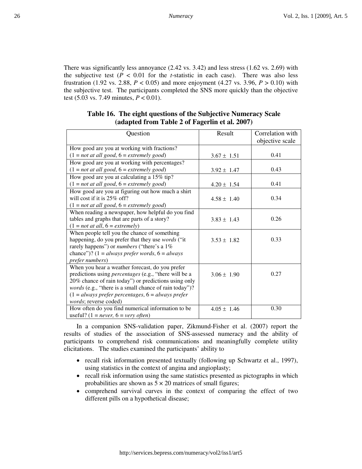There was significantly less annoyance (2.42 vs. 3.42) and less stress (1.62 vs. 2.69) with the subjective test  $(P < 0.01$  for the *t*-statistic in each case). There was also less frustration (1.92 vs. 2.88,  $P < 0.05$ ) and more enjoyment (4.27 vs. 3.96,  $P > 0.10$ ) with the subjective test. The participants completed the SNS more quickly than the objective test (5.03 vs. 7.49 minutes, *P* < 0.01).

| Question                                                      | Result          | Correlation with |
|---------------------------------------------------------------|-----------------|------------------|
|                                                               |                 | objective scale  |
| How good are you at working with fractions?                   |                 |                  |
| $(1 = not at all good, 6 = extremely good)$                   | $3.67 \pm 1.51$ | 0.41             |
| How good are you at working with percentages?                 |                 |                  |
| $(1 = not at all good, 6 = extremely good)$                   | $3.92 \pm 1.47$ | 0.43             |
| How good are you at calculating a 15% tip?                    |                 |                  |
| $(1 = not at all good, 6 = extremely good)$                   | $4.20 \pm 1.54$ | 0.41             |
| How good are you at figuring out how much a shirt             |                 |                  |
| will cost if it is $25\%$ off?                                | $4.58 \pm 1.40$ | 0.34             |
| $(1 = not at all good, 6 = extremely good)$                   |                 |                  |
| When reading a newspaper, how helpful do you find             |                 |                  |
| tables and graphs that are parts of a story?                  | $3.83 \pm 1.43$ | 0.26             |
| $(1 = not at all, 6 = extremely)$                             |                 |                  |
| When people tell you the chance of something                  |                 |                  |
| happening, do you prefer that they use words ("it             | $3.53 \pm 1.82$ | 0.33             |
| rarely happens") or <i>numbers</i> ("there's a 1%             |                 |                  |
| chance")? $(1 = always prefer words, 6 = always$              |                 |                  |
| prefer numbers)                                               |                 |                  |
| When you hear a weather forecast, do you prefer               |                 |                  |
| predictions using <i>percentages</i> (e.g., "there will be a  | $3.06 \pm 1.90$ | 0.27             |
| 20% chance of rain today") or predictions using only          |                 |                  |
| <i>words</i> (e.g., "there is a small chance of rain today")? |                 |                  |
| $(1 = always prefer percentages, 6 = always prefer)$          |                 |                  |
| words; reverse coded)                                         |                 |                  |
| How often do you find numerical information to be             | $4.05 \pm 1.46$ | 0.30             |
| useful? $(1 = never, 6 = very often)$                         |                 |                  |

#### **Table 16. The eight questions of the Subjective Numeracy Scale (adapted from Table 2 of Fagerlin et al. 2007)**

In a companion SNS-validation paper, Zikmund-Fisher et al. (2007) report the results of studies of the association of SNS-assessed numeracy and the ability of participants to comprehend risk communications and meaningfully complete utility elicitations. The studies examined the participants' ability to

- recall risk information presented textually (following up Schwartz et al., 1997), using statistics in the context of angina and angioplasty;
- recall risk information using the same statistics presented as pictographs in which probabilities are shown as  $5 \times 20$  matrices of small figures;
- comprehend survival curves in the context of comparing the effect of two different pills on a hypothetical disease;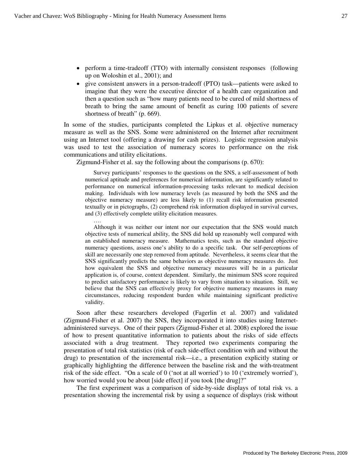….

- perform a time-tradeoff (TTO) with internally consistent responses (following up on Woloshin et al., 2001); and
- give consistent answers in a person-tradeoff (PTO) task—patients were asked to imagine that they were the executive director of a health care organization and then a question such as "how many patients need to be cured of mild shortness of breath to bring the same amount of benefit as curing 100 patients of severe shortness of breath" (p. 669).

In some of the studies, participants completed the Lipkus et al. objective numeracy measure as well as the SNS. Some were administered on the Internet after recruitment using an Internet tool (offering a drawing for cash prizes). Logistic regression analysis was used to test the association of numeracy scores to performance on the risk communications and utility elicitations.

Zigmund-Fisher et al. say the following about the comparisons (p. 670):

Survey participants' responses to the questions on the SNS, a self-assessment of both numerical aptitude and preferences for numerical information, are significantly related to performance on numerical information-processing tasks relevant to medical decision making. Individuals with low numeracy levels (as measured by both the SNS and the objective numeracy measure) are less likely to (1) recall risk information presented textually or in pictographs, (2) comprehend risk information displayed in survival curves, and (3) effectively complete utility elicitation measures.

Although it was neither our intent nor our expectation that the SNS would match objective tests of numerical ability, the SNS did hold up reasonably well compared with an established numeracy measure. Mathematics tests, such as the standard objective numeracy questions, assess one's ability to do a specific task. Our self-perceptions of skill are necessarily one step removed from aptitude. Nevertheless, it seems clear that the SNS significantly predicts the same behaviors as objective numeracy measures do. Just how equivalent the SNS and objective numeracy measures will be in a particular application is, of course, context dependent. Similarly, the minimum SNS score required to predict satisfactory performance is likely to vary from situation to situation. Still, we believe that the SNS can effectively proxy for objective numeracy measures in many circumstances, reducing respondent burden while maintaining significant predictive validity.

Soon after these researchers developed (Fagerlin et al. 2007) and validated (Zigmund-Fisher et al. 2007) the SNS, they incorporated it into studies using Internetadministered surveys. One of their papers (Zigmud-Fisher et al. 2008) explored the issue of how to present quantitative information to patients about the risks of side effects associated with a drug treatment. They reported two experiments comparing the presentation of total risk statistics (risk of each side-effect condition with and without the drug) to presentation of the incremental risk—i.e., a presentation explicitly stating or graphically highlighting the difference between the baseline risk and the with-treatment risk of the side effect. "On a scale of 0 ('not at all worried') to 10 ('extremely worried'), how worried would you be about [side effect] if you took [the drug]?"

The first experiment was a comparison of side-by-side displays of total risk vs. a presentation showing the incremental risk by using a sequence of displays (risk without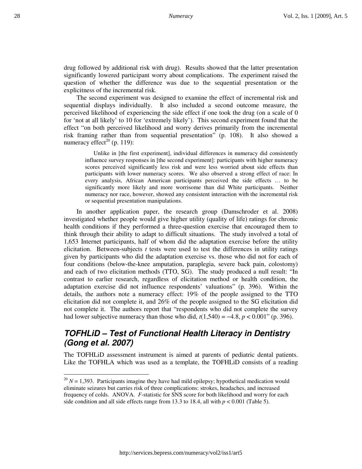drug followed by additional risk with drug). Results showed that the latter presentation significantly lowered participant worry about complications. The experiment raised the question of whether the difference was due to the sequential presentation or the explicitness of the incremental risk.

The second experiment was designed to examine the effect of incremental risk and sequential displays individually. It also included a second outcome measure, the perceived likelihood of experiencing the side effect if one took the drug (on a scale of 0 for 'not at all likely' to 10 for 'extremely likely'). This second experiment found that the effect "on both perceived likelihood and worry derives primarily from the incremental risk framing rather than from sequential presentation" (p. 108). It also showed a numeracy effect<sup>20</sup> (p. 119):

Unlike in [the first experiment], individual differences in numeracy did consistently influence survey responses in [the second experiment]: participants with higher numeracy scores perceived significantly less risk and were less worried about side effects than participants with lower numeracy scores. We also observed a strong effect of race: In every analysis, African American participants perceived the side effects … to be significantly more likely and more worrisome than did White participants. Neither numeracy nor race, however, showed any consistent interaction with the incremental risk or sequential presentation manipulations.

In another application paper, the research group (Damschroder et al. 2008) investigated whether people would give higher utility (quality of life) ratings for chronic health conditions if they performed a three-question exercise that encouraged them to think through their ability to adapt to difficult situations. The study involved a total of 1,653 Internet participants, half of whom did the adaptation exercise before the utility elicitation. Between-subjects *t* tests were used to test the differences in utility ratings given by participants who did the adaptation exercise vs. those who did not for each of four conditions (below-the-knee amputation, paraplegia, severe back pain, colostomy) and each of two elicitation methods (TTO, SG). The study produced a null result: "In contrast to earlier research, regardless of elicitation method or health condition, the adaptation exercise did not influence respondents' valuations" (p. 396). Within the details, the authors note a numeracy effect: 19% of the people assigned to the TTO elicitation did not complete it, and 26% of the people assigned to the SG elicitation did not complete it. The authors report that "respondents who did not complete the survey had lower subjective numeracy than those who did,  $t(1,540) = -4.8$ ,  $p < 0.001$ " (p. 396).

# **TOFHLiD – Test of Functional Health Literacy in Dentistry (Gong et al. 2007)**

The TOFHLiD assessment instrument is aimed at parents of pediatric dental patients. Like the TOFHLA which was used as a template, the TOFHLiD consists of a reading

<u>.</u>

 $2^{20} N = 1,393$ . Participants imagine they have had mild epilepsy; hypothetical medication would eliminate seizures but carries risk of three complications: strokes, headaches, and increased frequency of colds. ANOVA. *F*-statistic for SNS score for both likelihood and worry for each side condition and all side effects range from 13.3 to 18.4, all with  $p < 0.001$  (Table 5).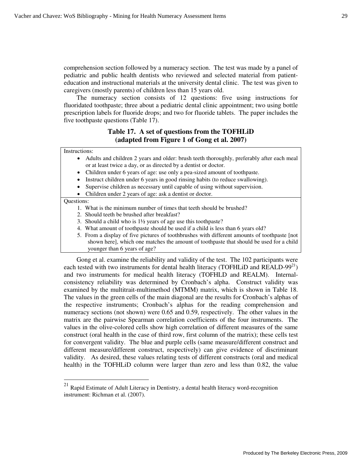comprehension section followed by a numeracy section. The test was made by a panel of pediatric and public health dentists who reviewed and selected material from patienteducation and instructional materials at the university dental clinic. The test was given to caregivers (mostly parents) of children less than 15 years old.

The numeracy section consists of 12 questions: five using instructions for fluoridated toothpaste; three about a pediatric dental clinic appointment; two using bottle prescription labels for fluoride drops; and two for fluoride tablets. The paper includes the five toothpaste questions (Table 17).

#### **Table 17. A set of questions from the TOFHLiD (adapted from Figure 1 of Gong et al. 2007)**

#### Instructions:

- Adults and children 2 years and older: brush teeth thoroughly, preferably after each meal or at least twice a day, or as directed by a dentist or doctor.
- Children under 6 years of age: use only a pea-sized amount of toothpaste.
- Instruct children under 6 years in good rinsing habits (to reduce swallowing).
- Supervise children as necessary until capable of using without supervision.
- Children under 2 years of age: ask a dentist or doctor.

Questions:

 $\overline{a}$ 

- 1. What is the minimum number of times that teeth should be brushed?
- 2. Should teeth be brushed after breakfast?
- 3. Should a child who is 1½ years of age use this toothpaste?
- 4. What amount of toothpaste should be used if a child is less than 6 years old?
- 5. From a display of five pictures of toothbrushes with different amounts of toothpaste [not shown here], which one matches the amount of toothpaste that should be used for a child younger than 6 years of age?

Gong et al. examine the reliability and validity of the test. The 102 participants were each tested with two instruments for dental health literacy (TOFHLiD and REALD-99 $^{21}$ ) and two instruments for medical health literacy (TOFHLD and REALM). Internalconsistency reliability was determined by Cronbach's alpha. Construct validity was examined by the multitrait-multimethod (MTMM) matrix, which is shown in Table 18. The values in the green cells of the main diagonal are the results for Cronbach's alphas of the respective instruments; Cronbach's alphas for the reading comprehension and numeracy sections (not shown) were 0.65 and 0.59, respectively. The other values in the matrix are the pairwise Spearman correlation coefficients of the four instruments. The values in the olive-colored cells show high correlation of different measures of the same construct (oral health in the case of third row, first column of the matrix); these cells test for convergent validity. The blue and purple cells (same measure/different construct and different measure/different construct, respectively) can give evidence of discriminant validity. As desired, these values relating tests of different constructs (oral and medical health) in the TOFHLiD column were larger than zero and less than 0.82, the value

 $^{21}$  Rapid Estimate of Adult Literacy in Dentistry, a dental health literacy word-recognition instrument: Richman et al. (2007).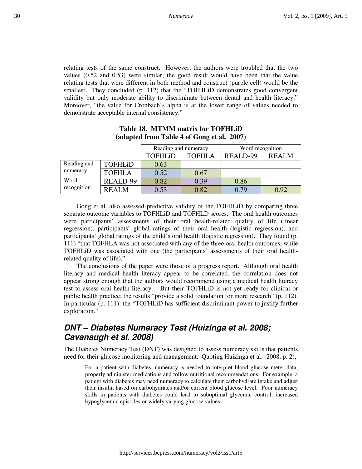relating tests of the same construct. However, the authors were troubled that the two values (0.52 and 0.53) were similar; the good result would have been that the value relating tests that were different in both method and construct (purple cell) would be the smallest. They concluded (p. 112) that the "TOFHLiD demonstrates good convergent validity but only moderate ability to discriminate between dental and health literacy." Moreover, "the value for Cronbach's alpha is at the lower range of values needed to demonstrate acceptable internal consistency."

|             |                | Reading and numeracy |               | Word recognition |              |  |
|-------------|----------------|----------------------|---------------|------------------|--------------|--|
|             |                | TOFHLiD              | <b>TOFHLA</b> | REALD-99         | <b>REALM</b> |  |
| Reading and | <b>TOFHLiD</b> | 0.63                 |               |                  |              |  |
| numeracy    | <b>TOFHLA</b>  | 0.52                 | 0.67          |                  |              |  |
| Word        | REALD-99       | 0.82                 | 0.39          | 0.86             |              |  |
| recognition | REALM          | 0.53                 | 0.82          | 0.79             | 0.92         |  |

#### **Table 18. MTMM matrix for TOFHLiD (adapted from Table 4 of Gong et al. 2007)**

Gong et al. also assessed predictive validity of the TOFHLiD by comparing three separate outcome variables to TOFHLiD and TOFHLD scores. The oral health outcomes were participants' assessments of their oral health-related quality of life (linear regression), participants' global ratings of their oral health (logistic regression), and participants' global ratings of the child's oral health (logistic regression). They found (p. 111) "that TOFHLA was not associated with any of the three oral health outcomes, while TOFHLiD was associated with one (the participants' assessments of their oral healthrelated quality of life)."

The conclusions of the paper were those of a progress report. Although oral health literacy and medical health literacy appear to be correlated, the correlation does not appear strong enough that the authors would recommend using a medical health literacy test to assess oral health literacy. But their TOFHLiD is not yet ready for clinical or public health practice; the results "provide a solid foundation for more research" (p. 112). In particular (p. 111), the "TOFHLiD has sufficient discriminant power to justify further exploration."

# **DNT – Diabetes Numeracy Test (Huizinga et al. 2008; Cavanaugh et al. 2008)**

The Diabetes Numeracy Test (DNT) was designed to assess numeracy skills that patients need for their glucose monitoring and management. Quoting Huizinga et al. (2008, p. 2),

For a patient with diabetes, numeracy is needed to interpret blood glucose meter data, properly administer medications and follow nutritional recommendations. For example, a patient with diabetes may need numeracy to calculate their carbohydrate intake and adjust their insulin based on carbohydrates and/or current blood glucose level. Poor numeracy skills in patients with diabetes could lead to suboptimal glycemic control, increased hypoglycemic episodes or widely varying glucose values.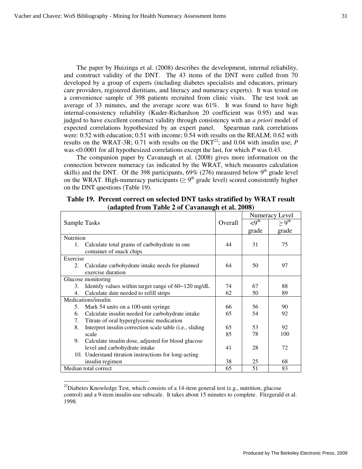The paper by Huizinga et al. (2008) describes the development, internal reliability, and construct validity of the DNT. The 43 items of the DNT were culled from 70 developed by a group of experts (including diabetes specialists and educators, primary care providers, registered dietitians, and literacy and numeracy experts). It was tested on a convenience sample of 398 patients recruited from clinic visits. The test took an average of 33 minutes, and the average score was 61%. It was found to have high internal-consistency reliability (Kuder-Richardson 20 coefficient was 0.95) and was judged to have excellent construct validity through consistency with an *a priori* model of expected correlations hypothesized by an expert panel. Spearman rank correlations were: 0.52 with education; 0.51 with income; 0.54 with results on the REALM; 0.62 with results on the WRAT-3R; 0.71 with results on the DKT<sup>22</sup>; and 0.04 with insulin use; *P* was <0.0001 for all hypothesized correlations except the last, for which *P* was 0.43.

The companion paper by Cavanaugh et al. (2008) gives more information on the connection between numeracy (as indicated by the WRAT, which measures calculation skills) and the DNT. Of the 398 participants,  $69\%$  (276) measured below 9<sup>th</sup> grade level on the WRAT. High-numeracy participants ( $\geq 9^{th}$  grade level) scored consistently higher on the DNT questions (Table 19).

|                     |                                                                          |         | Numeracy Level   |                   |  |
|---------------------|--------------------------------------------------------------------------|---------|------------------|-------------------|--|
| Sample Tasks        |                                                                          | Overall | $\langle 9^{th}$ | > 9 <sup>th</sup> |  |
|                     |                                                                          |         | grade            | grade             |  |
| Nutrition           |                                                                          |         |                  |                   |  |
| 1.                  | Calculate total grams of carbohydrate in one<br>container of snack chips | 44      | 31               | 75                |  |
| Exercise            |                                                                          |         |                  |                   |  |
| 2.                  | Calculate carbohydrate intake needs for planned                          | 64      | 50               | 97                |  |
|                     | exercise duration                                                        |         |                  |                   |  |
|                     | Glucose monitoring                                                       |         |                  |                   |  |
| 3.                  | Identify values within target range of 60–120 mg/dL                      | 74      | 67               | 88                |  |
| 4.                  | Calculate date needed to refill strips                                   | 62      | 50               | 89                |  |
| Medications/insulin |                                                                          |         |                  |                   |  |
| 5.                  | Mark 54 units on a 100-unit syringe                                      | 66      | 56               | 90                |  |
| 6.                  | Calculate insulin needed for carbohydrate intake                         | 65      | 54               | 92                |  |
| 7.                  | Titrate of oral hyperglycemic medication                                 |         |                  |                   |  |
| 8.                  | Interpret insulin correction scale table (i.e., sliding                  | 65      | 53               | 92                |  |
|                     | scale                                                                    | 85      | 78               | 100               |  |
| 9.                  | Calculate insulin dose, adjusted for blood glucose                       |         |                  |                   |  |
|                     | level and carbohydrate intake                                            | 41      | 28               | 72                |  |
|                     | 10. Understand titration instructions for long-acting                    |         |                  |                   |  |
|                     | insulin regimen                                                          | 38      | 25               | 68                |  |
|                     | Median total correct                                                     | 65      | 51               | 83                |  |

**Table 19. Percent correct on selected DNT tasks stratified by WRAT result (adapted from Table 2 of Cavanaugh et al. 2008)** 

 $\overline{a}$ 

 $^{22}$ Diabetes Knowledge Test, which consists of a 14-item general test (e.g., nutrition, glucose control) and a 9-item insulin-use subscale. It takes about 15 minutes to complete. Fitzgerald et al. 1998.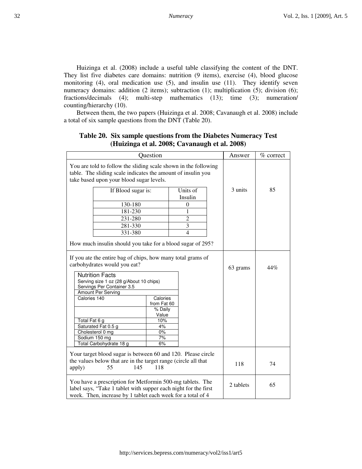Huizinga et al. (2008) include a useful table classifying the content of the DNT. They list five diabetes care domains: nutrition (9 items), exercise (4), blood glucose monitoring (4), oral medication use (5), and insulin use (11). They identify seven numeracy domains: addition (2 items); subtraction (1); multiplication (5); division (6); fractions/decimals (4); multi-step mathematics (13); time (3); numeration/ counting/hierarchy (10).

Between them, the two papers (Huizinga et al. 2008; Cavanaugh et al. 2008) include a total of six sample questions from the DNT (Table 20).

|                                                                                                                                                                                                                                      | Question                           |                     |  |           |             |
|--------------------------------------------------------------------------------------------------------------------------------------------------------------------------------------------------------------------------------------|------------------------------------|---------------------|--|-----------|-------------|
|                                                                                                                                                                                                                                      |                                    |                     |  | Answer    | $%$ correct |
| You are told to follow the sliding scale shown in the following<br>table. The sliding scale indicates the amount of insulin you<br>take based upon your blood sugar levels.                                                          |                                    |                     |  |           |             |
| If Blood sugar is:                                                                                                                                                                                                                   |                                    | Units of<br>Insulin |  | 3 units   | 85          |
| 130-180                                                                                                                                                                                                                              |                                    | $\boldsymbol{0}$    |  |           |             |
| 181-230                                                                                                                                                                                                                              |                                    | 1                   |  |           |             |
| 231-280                                                                                                                                                                                                                              |                                    | $\overline{2}$      |  |           |             |
| 281-330                                                                                                                                                                                                                              |                                    | 3                   |  |           |             |
| 331-380                                                                                                                                                                                                                              |                                    | 4                   |  |           |             |
| How much insulin should you take for a blood sugar of 295?                                                                                                                                                                           |                                    |                     |  |           |             |
| If you ate the entire bag of chips, how many total grams of<br>carbohydrates would you eat?<br><b>Nutrition Facts</b><br>Serving size 1 oz (28 g/About 10 chips)<br>Servings Per Container 3.5<br>Amount Per Serving<br>Calories 140 | Calories<br>from Fat 60<br>% Daily |                     |  | 63 grams  | 44%         |
| Total Fat 6 g                                                                                                                                                                                                                        | Value<br>10%                       |                     |  |           |             |
| Saturated Fat 0.5 g                                                                                                                                                                                                                  | 4%                                 |                     |  |           |             |
| Cholesterol 0 mg                                                                                                                                                                                                                     | $0\%$                              |                     |  |           |             |
| Sodium 150 mg<br>Total Carbohydrate 18 g                                                                                                                                                                                             | 7%<br>6%                           |                     |  |           |             |
|                                                                                                                                                                                                                                      |                                    |                     |  |           |             |
| Your target blood sugar is between 60 and 120. Please circle<br>the values below that are in the target range (circle all that<br>55<br>apply)                                                                                       | 118<br>145                         |                     |  | 118       | 74          |
| You have a prescription for Metformin 500-mg tablets. The<br>label says, "Take 1 tablet with supper each night for the first<br>week. Then, increase by 1 tablet each week for a total of 4                                          |                                    |                     |  | 2 tablets | 65          |

#### **Table 20. Six sample questions from the Diabetes Numeracy Test (Huizinga et al. 2008; Cavanaugh et al. 2008)**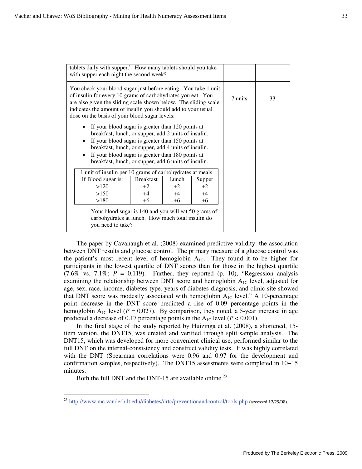|                                                                                                                                                                                                                                                                                                                                                               | tablets daily with supper." How many tablets should you take<br>with supper each night the second week? |       |        |         |    |  |
|---------------------------------------------------------------------------------------------------------------------------------------------------------------------------------------------------------------------------------------------------------------------------------------------------------------------------------------------------------------|---------------------------------------------------------------------------------------------------------|-------|--------|---------|----|--|
| You check your blood sugar just before eating. You take 1 unit<br>of insulin for every 10 grams of carbohydrates you eat. You<br>are also given the sliding scale shown below. The sliding scale<br>indicates the amount of insulin you should add to your usual<br>dose on the basis of your blood sugar levels:                                             |                                                                                                         |       |        | 7 units | 33 |  |
| If your blood sugar is greater than 120 points at<br>breakfast, lunch, or supper, add 2 units of insulin.<br>If your blood sugar is greater than 150 points at<br>$\bullet$<br>breakfast, lunch, or supper, add 4 units of insulin.<br>If your blood sugar is greater than 180 points at<br>$\bullet$<br>breakfast, lunch, or supper, add 6 units of insulin. |                                                                                                         |       |        |         |    |  |
| 1 unit of insulin per 10 grams of carbohydrates at meals                                                                                                                                                                                                                                                                                                      |                                                                                                         |       |        |         |    |  |
| If Blood sugar is:                                                                                                                                                                                                                                                                                                                                            | <b>Breakfast</b>                                                                                        | Lunch | Supper |         |    |  |
| >120                                                                                                                                                                                                                                                                                                                                                          | $+2$                                                                                                    | $+2$  | $+2$   |         |    |  |
| >150                                                                                                                                                                                                                                                                                                                                                          | $+4$                                                                                                    | $+4$  | $+4$   |         |    |  |
| >180                                                                                                                                                                                                                                                                                                                                                          | $+6$                                                                                                    | $+6$  | $+6$   |         |    |  |
| Your blood sugar is 140 and you will eat 50 grams of<br>carbohydrates at lunch. How much total insulin do<br>you need to take?                                                                                                                                                                                                                                |                                                                                                         |       |        |         |    |  |

The paper by Cavanaugh et al. (2008) examined predictive validity: the association between DNT results and glucose control. The primary measure of a glucose control was the patient's most recent level of hemoglobin  $A_{1C}$ . They found it to be higher for participants in the lowest quartile of DNT scores than for those in the highest quartile  $(7.6\%$  vs.  $7.1\%$ ;  $P = 0.119$ ). Further, they reported (p. 10), "Regression analysis examining the relationship between DNT score and hemoglobin  $A_{1C}$  level, adjusted for age, sex, race, income, diabetes type, years of diabetes diagnosis, and clinic site showed that DNT score was modestly associated with hemoglobin  $A_{1C}$  level." A 10-percentage point decrease in the DNT score predicted a rise of 0.09 percentage points in the hemoglobin  $A_{1C}$  level ( $P = 0.027$ ). By comparison, they noted, a 5-year increase in age predicted a decrease of 0.17 percentage points in the  $A_{1C}$  level ( $P < 0.001$ ).

In the final stage of the study reported by Huizinga et al. (2008), a shortened, 15 item version, the DNT15, was created and verified through split sample analysis. The DNT15, which was developed for more convenient clinical use, performed similar to the full DNT on the internal-consistency and construct validity tests. It was highly correlated with the DNT (Spearman correlations were 0.96 and 0.97 for the development and confirmation samples, respectively). The DNT15 assessments were completed in 10−15 minutes.

Both the full DNT and the DNT-15 are available online.<sup>23</sup>

 $\overline{a}$ 

<sup>&</sup>lt;sup>23</sup> http://www.mc.vanderbilt.edu/diabetes/drtc/preventionandcontrol/tools.php (accessed 12/29/08).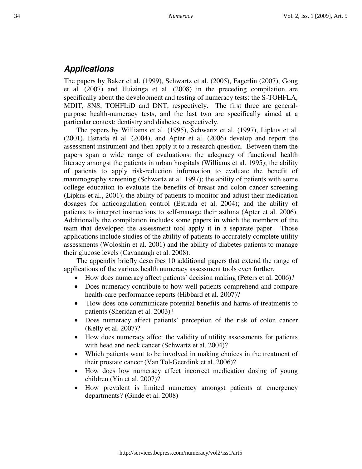### **Applications**

The papers by Baker et al. (1999), Schwartz et al. (2005), Fagerlin (2007), Gong et al. (2007) and Huizinga et al. (2008) in the preceding compilation are specifically about the development and testing of numeracy tests: the S-TOHFLA, MDIT, SNS, TOHFLiD and DNT, respectively. The first three are generalpurpose health-numeracy tests, and the last two are specifically aimed at a particular context: dentistry and diabetes, respectively.

The papers by Williams et al. (1995), Schwartz et al. (1997), Lipkus et al. (2001), Estrada et al. (2004), and Apter et al. (2006) develop and report the assessment instrument and then apply it to a research question. Between them the papers span a wide range of evaluations: the adequacy of functional health literacy amongst the patients in urban hospitals (Williams et al. 1995); the ability of patients to apply risk-reduction information to evaluate the benefit of mammography screening (Schwartz et al. 1997); the ability of patients with some college education to evaluate the benefits of breast and colon cancer screening (Lipkus et al., 2001); the ability of patients to monitor and adjust their medication dosages for anticoagulation control (Estrada et al. 2004); and the ability of patients to interpret instructions to self-manage their asthma (Apter et al. 2006). Additionally the compilation includes some papers in which the members of the team that developed the assessment tool apply it in a separate paper. Those applications include studies of the ability of patients to accurately complete utility assessments (Woloshin et al. 2001) and the ability of diabetes patients to manage their glucose levels (Cavanaugh et al. 2008).

The appendix briefly describes 10 additional papers that extend the range of applications of the various health numeracy assessment tools even further.

- How does numeracy affect patients' decision making (Peters et al. 2006)?
- Does numeracy contribute to how well patients comprehend and compare health-care performance reports (Hibbard et al. 2007)?
- How does one communicate potential benefits and harms of treatments to patients (Sheridan et al. 2003)?
- Does numeracy affect patients' perception of the risk of colon cancer (Kelly et al. 2007)?
- How does numeracy affect the validity of utility assessments for patients with head and neck cancer (Schwartz et al. 2004)?
- Which patients want to be involved in making choices in the treatment of their prostate cancer (Van Tol-Geerdink et al. 2006)?
- How does low numeracy affect incorrect medication dosing of young children (Yin et al. 2007)?
- How prevalent is limited numeracy amongst patients at emergency departments? (Ginde et al. 2008)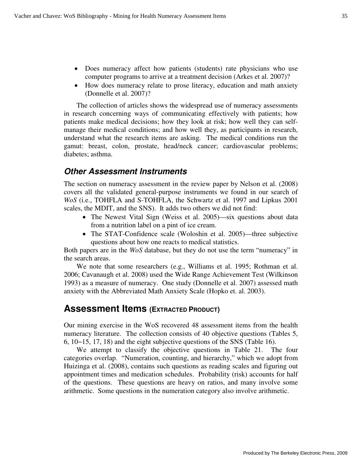- Does numeracy affect how patients (students) rate physicians who use computer programs to arrive at a treatment decision (Arkes et al. 2007)?
- How does numeracy relate to prose literacy, education and math anxiety (Donnelle et al. 2007)?

The collection of articles shows the widespread use of numeracy assessments in research concerning ways of communicating effectively with patients; how patients make medical decisions; how they look at risk; how well they can selfmanage their medical conditions; and how well they, as participants in research, understand what the research items are asking. The medical conditions run the gamut: breast, colon, prostate, head/neck cancer; cardiovascular problems; diabetes; asthma.

#### **Other Assessment Instruments**

The section on numeracy assessment in the review paper by Nelson et al. (2008) covers all the validated general-purpose instruments we found in our search of *WoS* (i.e., TOHFLA and S-TOHFLA, the Schwartz et al. 1997 and Lipkus 2001 scales, the MDIT, and the SNS). It adds two others we did not find:

- The Newest Vital Sign (Weiss et al. 2005)—six questions about data from a nutrition label on a pint of ice cream.
- The STAT-Confidence scale (Woloshin et al. 2005)—three subjective questions about how one reacts to medical statistics.

Both papers are in the *WoS* database, but they do not use the term "numeracy" in the search areas.

We note that some researchers (e.g., Williams et al. 1995; Rothman et al. 2006; Cavanaugh et al. 2008) used the Wide Range Achievement Test (Wilkinson 1993) as a measure of numeracy. One study (Donnelle et al. 2007) assessed math anxiety with the Abbreviated Math Anxiety Scale (Hopko et. al. 2003).

# **Assessment Items (EXTRACTED PRODUCT)**

Our mining exercise in the WoS recovered 48 assessment items from the health numeracy literature. The collection consists of 40 objective questions (Tables 5, 6, 10−15, 17, 18) and the eight subjective questions of the SNS (Table 16).

We attempt to classify the objective questions in Table 21. The four categories overlap. "Numeration, counting, and hierarchy," which we adopt from Huizinga et al. (2008), contains such questions as reading scales and figuring out appointment times and medication schedules. Probability (risk) accounts for half of the questions. These questions are heavy on ratios, and many involve some arithmetic. Some questions in the numeration category also involve arithmetic.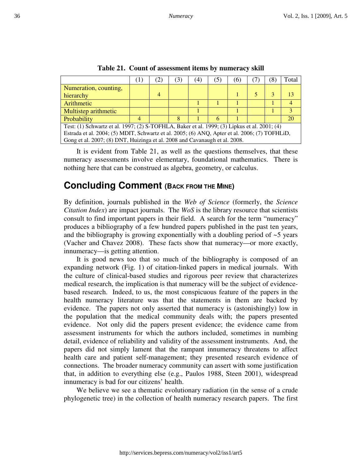|                                                                                               | $\perp$ |                | $\left(3\right)$ | (4) | (5 | (6) | $\mathcal{S}$ | Total |
|-----------------------------------------------------------------------------------------------|---------|----------------|------------------|-----|----|-----|---------------|-------|
| Numeration, counting,                                                                         |         |                |                  |     |    |     |               |       |
| hierarchy                                                                                     |         | $\overline{4}$ |                  |     |    |     |               |       |
| Arithmetic                                                                                    |         |                |                  |     |    |     |               |       |
| Multistep arithmetic                                                                          |         |                |                  |     |    |     |               |       |
| Probability                                                                                   |         |                |                  |     | 6  |     |               | 20    |
| Test: (1) Schwartz et al. 1997; (2) S-TOFHLA, Baker et al. 1999; (3) Lipkus et al. 2001; (4)  |         |                |                  |     |    |     |               |       |
| Estrada et al. 2004; (5) MDIT, Schwartz et al. 2005; (6) ANQ, Apter et al. 2006; (7) TOFHLiD, |         |                |                  |     |    |     |               |       |
| Gong et al. 2007; (8) DNT, Huizinga et al. 2008 and Cavanaugh et al. 2008.                    |         |                |                  |     |    |     |               |       |

**Table 21. Count of assessment items by numeracy skill** 

It is evident from Table 21, as well as the questions themselves, that these numeracy assessments involve elementary, foundational mathematics. There is nothing here that can be construed as algebra, geometry, or calculus.

# **Concluding Comment (BACK FROM THE MINE)**

By definition, journals published in the *Web of Science* (formerly, the *Science Citation Index*) are impact journals. The *WoS* is the library resource that scientists consult to find important papers in their field. A search for the term "numeracy" produces a bibliography of a few hundred papers published in the past ten years, and the bibliography is growing exponentially with a doubling period of  $\sim$  5 years (Vacher and Chavez 2008). These facts show that numeracy—or more exactly, innumeracy—is getting attention.

It is good news too that so much of the bibliography is composed of an expanding network (Fig. 1) of citation-linked papers in medical journals. With the culture of clinical-based studies and rigorous peer review that characterizes medical research, the implication is that numeracy will be the subject of evidencebased research. Indeed, to us, the most conspicuous feature of the papers in the health numeracy literature was that the statements in them are backed by evidence. The papers not only asserted that numeracy is (astonishingly) low in the population that the medical community deals with; the papers presented evidence. Not only did the papers present evidence; the evidence came from assessment instruments for which the authors included, sometimes in numbing detail, evidence of reliability and validity of the assessment instruments. And, the papers did not simply lament that the rampant innumeracy threatens to affect health care and patient self-management; they presented research evidence of connections. The broader numeracy community can assert with some justification that, in addition to everything else (e.g., Paulos 1988, Steen 2001), widespread innumeracy is bad for our citizens' health.

We believe we see a thematic evolutionary radiation (in the sense of a crude phylogenetic tree) in the collection of health numeracy research papers. The first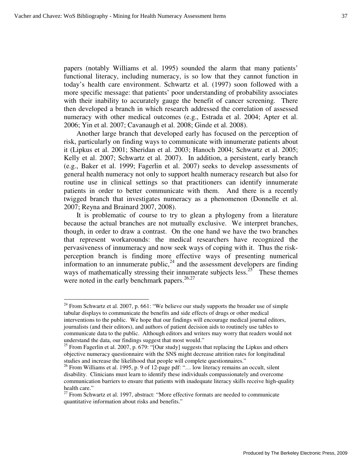$\overline{a}$ 

papers (notably Williams et al. 1995) sounded the alarm that many patients' functional literacy, including numeracy, is so low that they cannot function in today's health care environment. Schwartz et al. (1997) soon followed with a more specific message: that patients' poor understanding of probability associates with their inability to accurately gauge the benefit of cancer screening. There then developed a branch in which research addressed the correlation of assessed numeracy with other medical outcomes (e.g., Estrada et al. 2004; Apter et al. 2006; Yin et al. 2007; Cavanaugh et al. 2008; Ginde et al. 2008).

Another large branch that developed early has focused on the perception of risk, particularly on finding ways to communicate with innumerate patients about it (Lipkus et al. 2001; Sheridan et al. 2003; Hanoch 2004; Schwartz et al. 2005; Kelly et al. 2007; Schwartz et al. 2007). In addition, a persistent, early branch (e.g., Baker et al. 1999; Fagerlin et al. 2007) seeks to develop assessments of general health numeracy not only to support health numeracy research but also for routine use in clinical settings so that practitioners can identify innumerate patients in order to better communicate with them. And there is a recently twigged branch that investigates numeracy as a phenomenon (Donnelle et al. 2007; Reyna and Brainard 2007, 2008).

It is problematic of course to try to glean a phylogeny from a literature because the actual branches are not mutually exclusive. We interpret branches, though, in order to draw a contrast. On the one hand we have the two branches that represent workarounds: the medical researchers have recognized the pervasiveness of innumeracy and now seek ways of coping with it. Thus the riskperception branch is finding more effective ways of presenting numerical information to an innumerate public,  $24$  and the assessment developers are finding ways of mathematically stressing their innumerate subjects less.<sup>25</sup> These themes were noted in the early benchmark papers. $26,27$ 

<sup>&</sup>lt;sup>24</sup> From Schwartz et al. 2007, p. 661: "We believe our study supports the broader use of simple tabular displays to communicate the benefits and side effects of drugs or other medical interventions to the public. We hope that our findings will encourage medical journal editors, journalists (and their editors), and authors of patient decision aids to routinely use tables to communicate data to the public. Although editors and writers may worry that readers would not understand the data, our findings suggest that most would."

<sup>&</sup>lt;sup>25</sup> From Fagerlin et al. 2007, p. 679: "[Our study] suggests that replacing the Lipkus and others objective numeracy questionnaire with the SNS might decrease attrition rates for longitudinal studies and increase the likelihood that people will complete questionnaires."

<sup>&</sup>lt;sup>26</sup> From Williams et al. 1995, p. 9 of 12-page pdf: "... low literacy remains an occult, silent disability. Clinicians must learn to identify these individuals compassionately and overcome communication barriers to ensure that patients with inadequate literacy skills receive high-quality health care."

 $27$  From Schwartz et al. 1997, abstract: "More effective formats are needed to communicate quantitative information about risks and benefits."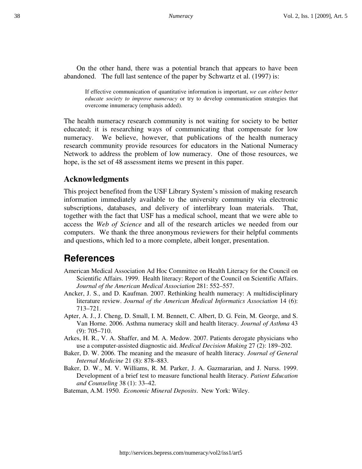On the other hand, there was a potential branch that appears to have been abandoned. The full last sentence of the paper by Schwartz et al. (1997) is:

If effective communication of quantitative information is important, *we can either better educate society to improve numeracy* or try to develop communication strategies that overcome innumeracy (emphasis added).

The health numeracy research community is not waiting for society to be better educated; it is researching ways of communicating that compensate for low numeracy. We believe, however, that publications of the health numeracy research community provide resources for educators in the National Numeracy Network to address the problem of low numeracy. One of those resources, we hope, is the set of 48 assessment items we present in this paper.

#### **Acknowledgments**

This project benefited from the USF Library System's mission of making research information immediately available to the university community via electronic subscriptions, databases, and delivery of interlibrary loan materials. That, together with the fact that USF has a medical school, meant that we were able to access the *Web of Science* and all of the research articles we needed from our computers. We thank the three anonymous reviewers for their helpful comments and questions, which led to a more complete, albeit longer, presentation.

# **References**

- American Medical Association Ad Hoc Committee on Health Literacy for the Council on Scientific Affairs. 1999. Health literacy: Report of the Council on Scientific Affairs. *Journal of the American Medical Association* 281: 552–557.
- Ancker, J. S., and D. Kaufman. 2007. Rethinking health numeracy: A multidisciplinary literature review. *Journal of the American Medical Informatics Association* 14 (6): 713–721.
- Apter, A. J., J. Cheng, D. Small, I. M. Bennett, C. Albert, D. G. Fein, M. George, and S. Van Horne. 2006. Asthma numeracy skill and health literacy. *Journal of Asthma* 43 (9): 705–710.
- Arkes, H. R., V. A. Shaffer, and M. A. Medow. 2007. Patients derogate physicians who use a computer-assisted diagnostic aid. *Medical Decision Making* 27 (2): 189–202.
- Baker, D. W. 2006. The meaning and the measure of health literacy. *Journal of General Internal Medicine* 21 (8): 878–883.
- Baker, D. W., M. V. Williams, R. M. Parker, J. A. Gazmararian, and J. Nurss. 1999. Development of a brief test to measure functional health literacy. *Patient Education and Counseling* 38 (1): 33–42.
- Bateman, A.M. 1950. *Economic Mineral Deposits*. New York: Wiley.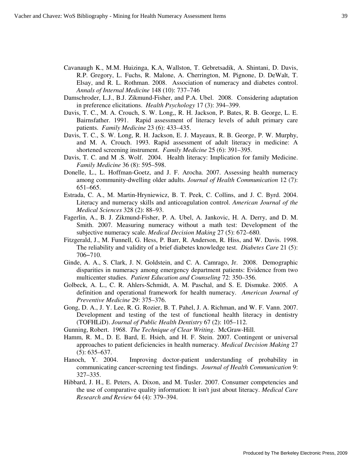- Cavanaugh K., M.M. Huizinga, K.A, Wallston, T. Gebretsadik, A. Shintani, D. Davis, R.P. Gregory, L. Fuchs, R. Malone, A. Cherrington, M. Pignone, D. DeWalt, T. Elsay, and R. L. Rothman. 2008. Association of numeracy and diabetes control. *Annals of Internal Medicine* 148 (10): 737–746
- Damschroder, L.J., B.J. Zikmund-Fisher, and P.A. Ubel. 2008. Considering adaptation in preference elicitations. *Health Psychology* 17 (3): 394–399.
- Davis, T. C., M. A. Crouch, S. W. Long,, R. H. Jackson, P. Bates, R. B. George, L. E. Bairnsfather. 1991. Rapid assessment of literacy levels of adult primary care patients. *Family Medicine* 23 (6): 433–435.
- Davis, T. C., S. W. Long, R. H. Jackson, E. J. Mayeaux, R. B. George, P. W. Murphy, and M. A. Crouch. 1993. Rapid assessment of adult literacy in medicine: A shortened screening instrument. *Family Medicine* 25 (6): 391–395.
- Davis, T. C. and M .S. Wolf. 2004. Health literacy: Implication for family Medicine. *Family Medicine* 36 (8): 595–598.
- Donelle, L., L. Hoffman-Goetz, and J. F. Arocha. 2007. Assessing health numeracy among community-dwelling older adults. *Journal of Health Communication* 12 (7): 651–665.
- Estrada, C. A., M. Martin-Hryniewicz, B. T. Peek, C. Collins, and J. C. Byrd. 2004. Literacy and numeracy skills and anticoagulation control. *American Journal of the Medical Sciences* 328 (2): 88–93.
- Fagerlin, A., B. J. Zikmund-Fisher, P. A. Ubel, A. Jankovic, H. A. Derry, and D. M. Smith. 2007. Measuring numeracy without a math test: Development of the subjective numeracy scale. *Medical Decision Making* 27 (5): 672–680.
- Fitzgerald, J., M. Funnell, G. Hess, P. Barr, R. Anderson, R. Hiss, and W. Davis. 1998. The reliability and validity of a brief diabetes knowledge test. *Diabetes Care* 21 (5): 706−710.
- Ginde, A. A., S. Clark, J. N. Goldstein, and C. A. Camrago, Jr. 2008. Demographic disparities in numeracy among emergency department patients: Evidence from two multicenter studies. *Patient Education and Counseling* 72: 350–356.
- Golbeck, A. L., C. R. Ahlers-Schmidt, A. M. Paschal, and S. E. Dismuke. 2005. A definition and operational framework for health numeracy. *American Journal of Preventive Medicine* 29: 375–376.
- Gong, D. A., J. Y. Lee, R. G. Rozier, B. T. Pahel, J. A. Richman, and W. F. Vann. 2007. Development and testing of the test of functional health literacy in dentistry (TOFHLiD). *Journal of Public Health Dentistry* 67 (2): 105–112.
- Gunning, Robert. 1968. *The Technique of Clear Writing*. McGraw-Hill.
- Hamm, R. M., D. E. Bard, E. Hsieh, and H. F. Stein. 2007. Contingent or universal approaches to patient deficiencies in health numeracy. *Medical Decision Making* 27 (5): 635–637.
- Hanoch, Y. 2004. Improving doctor-patient understanding of probability in communicating cancer-screening test findings. *Journal of Health Communication* 9: 327–335.
- Hibbard, J. H., E. Peters, A. Dixon, and M. Tusler. 2007. Consumer competencies and the use of comparative quality information: It isn't just about literacy. *Medical Care Research and Review* 64 (4): 379–394.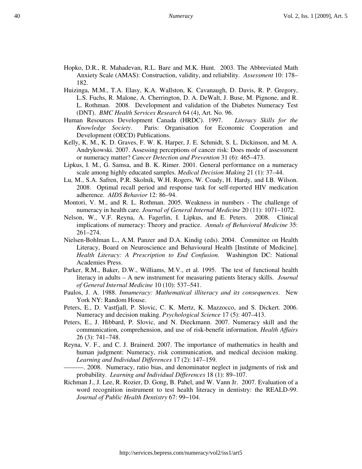- Hopko, D.R., R. Mahadevan, R.L. Bare and M.K. Hunt. 2003. The Abbreviated Math Anxiety Scale (AMAS): Construction, validity, and reliability. *Assessment* 10: 178– 182.
- Huizinga, M.M., T.A. Elasy, K.A. Wallston, K. Cavanaugh, D. Davis, R. P. Gregory, L.S. Fuchs, R. Malone, A. Cherrington, D. A. DeWalt, J. Buse, M. Pignone, and R. L. Rothman. 2008. Development and validation of the Diabetes Numeracy Test (DNT). *BMC Health Services Research* 64 (4), Art. No. 96.
- Human Resources Development Canada (HRDC). 1997. *Literacy Skills for the Knowledge Society*. Paris: Organisation for Economic Cooperation and Development (OECD) Publications.
- Kelly, K. M., K. D. Graves, F. W. K. Harper, J. E. Schmidt, S. L. Dickinson, and M. A. Andrykowski. 2007. Assessing perceptions of cancer risk: Does mode of assessment or numeracy matter? *Cancer Detection and Prevention* 31 (6): 465–473.
- Lipkus, I. M., G. Samsa, and B. K. Rimer. 2001. General performance on a numeracy scale among highly educated samples. *Medical Decision Making* 21 (1): 37–44.
- Lu, M., S.A. Safren, P.R. Skolnik, W.H. Rogers, W. Coady, H. Hardy, and I.B. Wilson. 2008. Optimal recall period and response task for self-reported HIV medication adherence. *AIDS Behavior* 12: 86–94.
- Montori, V. M., and R. L. Rothman. 2005. Weakness in numbers The challenge of numeracy in health care. *Journal of General Internal Medicine* 20 (11): 1071–1072.
- Nelson, W., V.F. Reyna, A. Fagerlin, I. Lipkus, and E. Peters. 2008. Clinical implications of numeracy: Theory and practice. *Annals of Behavioral Medicine* 35: 261–274.
- Nielsen-Bohlman L., A.M. Panzer and D.A. Kindig (eds). 2004. Committee on Health Literacy, Board on Neuroscience and Behavioural Health [Institute of Medicine]. *Health Literacy: A Prescription to End Confusion*. Washington DC: National Academies Press.
- Parker, R.M., Baker, D.W., Williams, M.V., et al. 1995. The test of functional health literacy in adults – A new instrument for measuring patients literacy skills. *Journal of General Internal Medicine* 10 (10): 537–541.
- Paulos, J. A. 1988. *Innumeracy: Mathematical illiteracy and its consequences*. New York NY: Random House.
- Peters, E., D. Vastfjall, P. Slovic, C. K. Mertz, K. Mazzocco, and S. Dickert. 2006. Numeracy and decision making. *Psychological Science* 17 (5): 407–413.
- Peters, E., J. Hibbard, P. Slovic, and N. Dieckmann. 2007. Numeracy skill and the communication, comprehension, and use of risk-benefit information. *Health Affairs* 26 (3): 741–748.
- Reyna, V. F., and C. J. Brainerd. 2007. The importance of mathematics in health and human judgment: Numeracy, risk communication, and medical decision making. *Learning and Individual Differences* 17 (2): 147–159.
	- ———. 2008. Numeracy, ratio bias, and denominator neglect in judgments of risk and probability. *Learning and Individual Differences* 18 (1): 89–107.
- Richman J., J. Lee, R. Rozier, D. Gong, B. Pahel, and W. Vann Jr. 2007. Evaluation of a word recognition instrument to test health literacy in dentistry: the REALD-99. *Journal of Public Health Dentistry* 67: 99−104.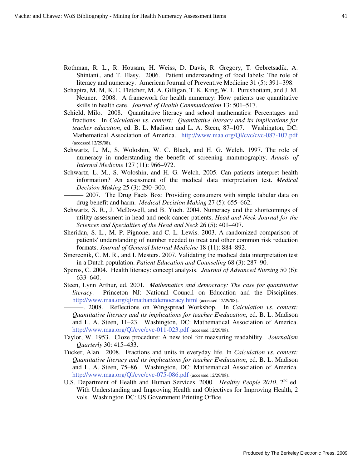- Rothman, R. L., R. Housam, H. Weiss, D. Davis, R. Gregory, T. Gebretsadik, A. Shintani., and T. Elasy. 2006. Patient understanding of food labels: The role of literacy and numeracy. American Journal of Preventive Medicine 31 (5): 391−398.
- Schapira, M. M, K. E. Fletcher, M. A. Gilligan, T. K. King, W. L. Purushottam, and J. M. Neuner. 2008. A framework for health numeracy: How patients use quantitative skills in health care. *Journal of Health Communication* 13: 501–517.
- Schield, Milo. 2008. Quantitative literacy and school mathematics: Percentages and fractions. In *Calculation vs. context: Quantitative literacy and its implications for teacher education*, ed. B. L. Madison and L. A. Steen, 87–107. Washington, DC: Mathematical Association of America. http://www.maa.org/Ql/cvc/cvc-087-107.pdf (accessed 12/29/08).
- Schwartz, L. M., S. Woloshin, W. C. Black, and H. G. Welch. 1997. The role of numeracy in understanding the benefit of screening mammography. *Annals of Internal Medicine* 127 (11): 966–972.
- Schwartz, L. M., S. Woloshin, and H. G. Welch. 2005. Can patients interpret health information? An assessment of the medical data interpretation test. *Medical Decision Making* 25 (3): 290–300.
	- ——— 2007. The Drug Facts Box: Providing consumers with simple tabular data on drug benefit and harm. *Medical Decision Making* 27 (5): 655–662.
- Schwartz, S. R., J. McDowell, and B. Yueh. 2004. Numeracy and the shortcomings of utility assessment in head and neck cancer patients. *Head and Neck-Journal for the Sciences and Specialties of the Head and Neck* 26 (5): 401–407.
- Sheridan, S. L., M. P. Pignone, and C. L. Lewis. 2003. A randomized comparison of patients' understanding of number needed to treat and other common risk reduction formats. *Journal of General Internal Medicine* 18 (11): 884–892.
- Smerecnik, C. M. R., and I. Mesters. 2007. Validating the medical data interpretation test in a Dutch population. *Patient Education and Counseling* 68 (3): 287–90.
- Speros, C. 2004. Health literacy: concept analysis. *Journal of Advanced Nursing* 50 (6): 633–640.
- Steen, Lynn Arthur, ed. 2001*. Mathematics and democracy: The case for quantitative literacy*. Princeton NJ: National Council on Education and the Disciplines. http://www.maa.org/ql/mathanddemocracy.html (accessed 12/29/08).

———. 2008. Reflections on Wingspread Workshop. In *Calculation vs. context: Quantitative literacy and its implications for teacher E\education*, ed. B. L. Madison and L. A. Steen, 11–23. Washington, DC: Mathematical Association of America. http://www.maa.org/Ql/cvc/cvc-011-023.pdf (accessed 12/29/08).

- Taylor, W. 1953. Cloze procedure: A new tool for measuring readability. *Journalism Quarterly* 30: 415–433.
- Tucker, Alan. 2008. Fractions and units in everyday life. In *Calculation vs. context: Quantitative literacy and its implications for teacher E\education*, ed. B. L. Madison and L. A. Steen, 75–86. Washington, DC: Mathematical Association of America. http://www.maa.org/Ql/cvc/cvc-075-086.pdf (accessed 12/29/08).
- U.S. Department of Health and Human Services. 2000. *Healthy People 2010*, 2<sup>nd</sup> ed. With Understanding and Improving Health and Objectives for Improving Health, 2 vols. Washington DC: US Government Printing Office.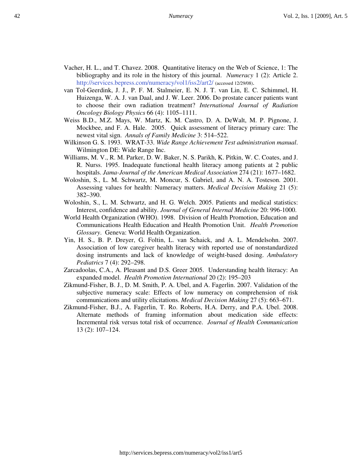- Vacher, H. L., and T. Chavez. 2008. Quantitative literacy on the Web of Science, 1: The bibliography and its role in the history of this journal. *Numeracy* 1 (2): Article 2. http://services.bepress.com/numeracy/vol1/iss2/art2/ (accessed 12/29/08).
- van Tol-Geerdink, J. J., P. F. M. Stalmeier, E. N. J. T. van Lin, E. C. Schimmel, H. Huizenga, W. A. J. van Daal, and J. W. Leer. 2006. Do prostate cancer patients want to choose their own radiation treatment? *International Journal of Radiation Oncology Biology Physics* 66 (4): 1105–1111.
- Weiss B.D., M.Z. Mays, W. Martz, K. M. Castro, D. A. DeWalt, M. P. Pignone, J. Mockbee, and F. A. Hale. 2005. Quick assessment of literacy primary care: The newest vital sign. *Annals of Family Medicine* 3: 514–522.
- Wilkinson G. S. 1993. WRAT-33. *Wide Range Achievement Test administration manual*. Wilmington DE: Wide Range Inc.
- Williams, M. V., R. M. Parker, D. W. Baker, N. S. Parikh, K. Pitkin, W. C. Coates, and J. R. Nurss. 1995. Inadequate functional health literacy among patients at 2 public hospitals. *Jama-Journal of the American Medical Association* 274 (21): 1677–1682.
- Woloshin, S., L. M. Schwartz, M. Moncur, S. Gabriel, and A. N. A. Tosteson. 2001. Assessing values for health: Numeracy matters. *Medical Decision Making* 21 (5): 382–390.
- Woloshin, S., L. M. Schwartz, and H. G. Welch. 2005. Patients and medical statistics: Interest, confidence and ability. *Journal of General Internal Medicine* 20: 996-1000.
- World Health Organization (WHO). 1998. Division of Health Promotion, Education and Communications Health Education and Health Promotion Unit. *Health Promotion Glossary*. Geneva: World Health Organization.
- Yin, H. S., B. P. Dreyer, G. Foltin, L. van Schaick, and A. L. Mendelsohn. 2007. Association of low caregiver health literacy with reported use of nonstandardized dosing instruments and lack of knowledge of weight-based dosing. *Ambulatory Pediatrics* 7 (4): 292–298.
- Zarcadoolas, C.A., A. Pleasant and D.S. Greer 2005. Understanding health literacy: An expanded model. *Health Promotion International* 20 (2): 195–203
- Zikmund-Fisher, B. J., D. M. Smith, P. A. Ubel, and A. Fagerlin. 2007. Validation of the subjective numeracy scale: Effects of low numeracy on comprehension of risk communications and utility elicitations. *Medical Decision Making* 27 (5): 663–671.
- Zikmund-Fisher, B.J., A. Fagerlin, T. Ro. Roberts, H.A. Derry, and P.A. Ubel. 2008. Alternate methods of framing information about medication side effects: Incremental risk versus total risk of occurrence. *Journal of Health Communication* 13 (2): 107–124.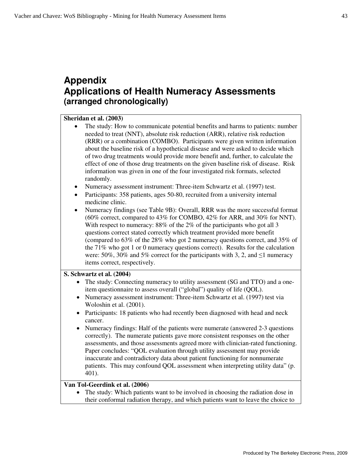# **Appendix Applications of Health Numeracy Assessments (arranged chronologically)**

#### **Sheridan et al. (2003)**

- The study: How to communicate potential benefits and harms to patients: number needed to treat (NNT), absolute risk reduction (ARR), relative risk reduction (RRR) or a combination (COMBO). Participants were given written information about the baseline risk of a hypothetical disease and were asked to decide which of two drug treatments would provide more benefit and, further, to calculate the effect of one of those drug treatments on the given baseline risk of disease. Risk information was given in one of the four investigated risk formats, selected randomly.
- Numeracy assessment instrument: Three-item Schwartz et al. (1997) test.
- Participants: 358 patients, ages 50-80, recruited from a university internal medicine clinic.
- Numeracy findings (see Table 9B): Overall, RRR was the more successful format (60% correct, compared to 43% for COMBO, 42% for ARR, and 30% for NNT). With respect to numeracy: 88% of the 2% of the participants who got all 3 questions correct stated correctly which treatment provided more benefit (compared to 63% of the 28% who got 2 numeracy questions correct, and 35% of the 71% who got 1 or 0 numeracy questions correct). Results for the calculation were: 50%, 30% and 5% correct for the participants with 3, 2, and  $\leq 1$  numeracy items correct, respectively.

#### **S. Schwartz et al. (2004)**

- The study: Connecting numeracy to utility assessment (SG and TTO) and a oneitem questionnaire to assess overall ("global") quality of life (QOL).
- Numeracy assessment instrument: Three-item Schwartz et al. (1997) test via Woloshin et al. (2001).
- Participants: 18 patients who had recently been diagnosed with head and neck cancer.
- Numeracy findings: Half of the patients were numerate (answered 2-3 questions correctly). The numerate patients gave more consistent responses on the other assessments, and those assessments agreed more with clinician-rated functioning. Paper concludes: "QOL evaluation through utility assessment may provide inaccurate and contradictory data about patient functioning for nonnumerate patients. This may confound QOL assessment when interpreting utility data" (p. 401).

#### **Van Tol-Geerdink et al. (2006)**

• The study: Which patients want to be involved in choosing the radiation dose in their conformal radiation therapy, and which patients want to leave the choice to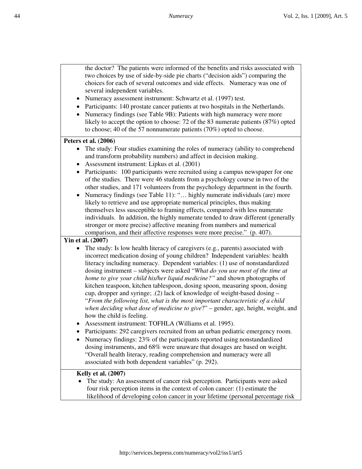the doctor? The patients were informed of the benefits and risks associated with two choices by use of side-by-side pie charts ("decision aids") comparing the choices for each of several outcomes and side effects. Numeracy was one of several independent variables.

- Numeracy assessment instrument: Schwartz et al. (1997) test.
- Participants: 140 prostate cancer patients at two hospitals in the Netherlands.
- Numeracy findings (see Table 9B): Patients with high numeracy were more likely to accept the option to choose: 72 of the 83 numerate patients (87%) opted to choose; 40 of the 57 nonnumerate patients (70%) opted to choose.

#### **Peters et al. (2006)**

- The study: Four studies examining the roles of numeracy (ability to comprehend and transform probability numbers) and affect in decision making.
- Assessment instrument: Lipkus et al. (2001)
- Participants: 100 participants were recruited using a campus newspaper for one of the studies. There were 46 students from a psychology course in two of the other studies, and 171 volunteers from the psychology department in the fourth.
- Numeracy findings (see Table 11): "… highly numerate individuals (are) more likely to retrieve and use appropriate numerical principles, thus making themselves less susceptible to framing effects, compared with less numerate individuals. In addition, the highly numerate tended to draw different (generally stronger or more precise) affective meaning from numbers and numerical comparison, and their affective responses were more precise." (p. 407).

#### **Yin et al. (2007)**

- The study: Is low health literacy of caregivers (e.g., parents) associated with incorrect medication dosing of young children? Independent variables: health literacy including numeracy. Dependent variables: (1) use of nonstandardized dosing instrument – subjects were asked "*What do you use most of the time at home to give your child his/her liquid medicine?"* and shown photographs of kitchen teaspoon, kitchen tablespoon, dosing spoon, measuring spoon, dosing cup, dropper and syringe; .(2) lack of knowledge of weight-based dosing – "*From the following list, what is the most important characteristic of a child when deciding what dose of medicine to give*?" – gender, age, height, weight, and how the child is feeling.
- Assessment instrument: TOFHLA (Williams et al. 1995).
- Participants: 292 caregivers recruited from an urban pediatric emergency room.
- Numeracy findings: 23% of the participants reported using nonstandardized dosing instruments, and 68% were unaware that dosages are based on weight. "Overall health literacy, reading comprehension and numeracy were all associated with both dependent variables" (p. 292).

#### **Kelly et al. (2007)**

• The study: An assessment of cancer risk perception. Participants were asked four risk perception items in the context of colon cancer: (1) estimate the likelihood of developing colon cancer in your lifetime (personal percentage risk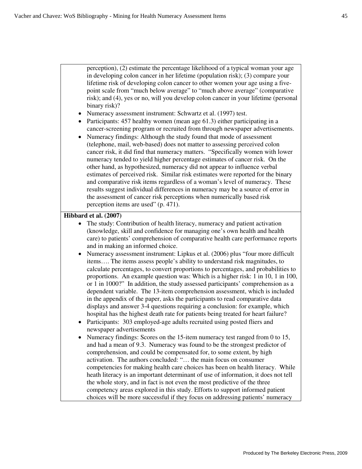perception), (2) estimate the percentage likelihood of a typical woman your age in developing colon cancer in her lifetime (population risk); (3) compare your lifetime risk of developing colon cancer to other women your age using a five-

point scale from "much below average" to "much above average" (comparative risk); and (4), yes or no, will you develop colon cancer in your lifetime (personal binary risk)?

- Numeracy assessment instrument: Schwartz et al. (1997) test.
- Participants: 457 healthy women (mean age 61.3) either participating in a cancer-screening program or recruited from through newspaper advertisements.
- Numeracy findings: Although the study found that mode of assessment (telephone, mail, web-based) does not matter to assessing perceived colon cancer risk, it did find that numeracy matters. "Specifically women with lower numeracy tended to yield higher percentage estimates of cancer risk. On the other hand, as hypothesized, numeracy did not appear to influence verbal estimates of perceived risk. Similar risk estimates were reported for the binary and comparative risk items regardless of a woman's level of numeracy. These results suggest individual differences in numeracy may be a source of error in the assessment of cancer risk perceptions when numerically based risk perception items are used" (p. 471).

#### **Hibbard et al. (2007)**

- The study: Contribution of health literacy, numeracy and patient activation (knowledge, skill and confidence for managing one's own health and health care) to patients' comprehension of comparative health care performance reports and in making an informed choice.
- Numeracy assessment instrument: Lipkus et al. (2006) plus "four more difficult items…. The items assess people's ability to understand risk magnitudes, to calculate percentages, to convert proportions to percentages, and probabilities to proportions. An example question was: Which is a higher risk: 1 in 10, 1 in 100, or 1 in 1000?" In addition, the study assessed participants' comprehension as a dependent variable. The 13-item comprehension assessment, which is included in the appendix of the paper, asks the participants to read comparative data displays and answer 3-4 questions requiring a conclusion: for example, which hospital has the highest death rate for patients being treated for heart failure?
- Participants: 303 employed-age adults recruited using posted fliers and newspaper advertisements
- Numeracy findings: Scores on the 15-item numeracy test ranged from 0 to 15, and had a mean of 9.3. Numeracy was found to be the strongest predictor of comprehension, and could be compensated for, to some extent, by high activation. The authors concluded: "… the main focus on consumer competencies for making health care choices has been on health literacy. While heath literacy is an important determinant of use of information, it does not tell the whole story, and in fact is not even the most predictive of the three competency areas explored in this study. Efforts to support informed patient choices will be more successful if they focus on addressing patients' numeracy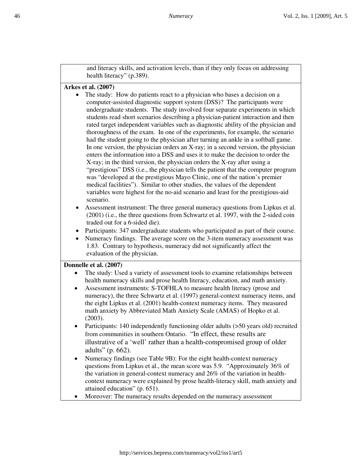and literacy skills, and activation levels, than if they only focus on addressing health literacy" (p.389).

#### **Arkes et al. (2007)**

- The study: How do patients react to a physician who bases a decision on a computer-assisted diagnostic support system (DSS)? The participants were undergraduate students. The study involved four separate experiments in which students read short scenarios describing a physician-patient interaction and then rated target independent variables such as diagnostic ability of the physician and thoroughness of the exam. In one of the experiments, for example, the scenario had the student going to the physician after turning an ankle in a softball game. In one version, the physician orders an X-ray; in a second version, the physician enters the information into a DSS and uses it to make the decision to order the X-ray; in the third version, the physician orders the X-ray after using a "prestigious" DSS (i.e., the physician tells the patient that the computer program was "developed at the prestigious Mayo Clinic, one of the nation's premier medical facilities"). Similar to other studies, the values of the dependent variables were highest for the no-aid scenario and least for the prestigious-aid scenario.
	- Assessment instrument: The three general numeracy questions from Lipkus et al. (2001) (i.e., the three questions from Schwartz et al. 1997, with the 2-sided coin traded out for a 6-sided die).
	- Participants: 347 undergraduate students who participated as part of their course.
	- Numeracy findings. The average score on the 3-item numeracy assessment was 1.83. Contrary to hypothesis, numeracy did not significantly affect the evaluation of the physician.

#### **Donnelle et al. (2007)**

- The study: Used a variety of assessment tools to examine relationships between health numeracy skills and prose health literacy, education, and math anxiety.
- Assessment instruments: S-TOFHLA to measure health literacy (prose and numeracy), the three Schwartz et al. (1997) general-context numeracy items, and the eight Lipkus et al. (2001) health-context numeracy items. They measured math anxiety by Abbreviated Math Anxiety Scale (AMAS) of Hopko et al. (2003).
- Participants: 140 independently functioning older adults ( $>50$  years old) recruited from communities in southern Ontario. "In effect, these results are illustrative of a 'well' rather than a health-compromised group of older adults" (p. 662).
- Numeracy findings (see Table 9B): For the eight health-context numeracy questions from Lipkus et al., the mean score was 5.9. "Approximately 36% of the variation in general-context numeracy and 26% of the variation in healthcontext numeracy were explained by prose health-literacy skill, math anxiety and attained education" (p. 651).
- Moreover: The numeracy results depended on the numeracy assessment